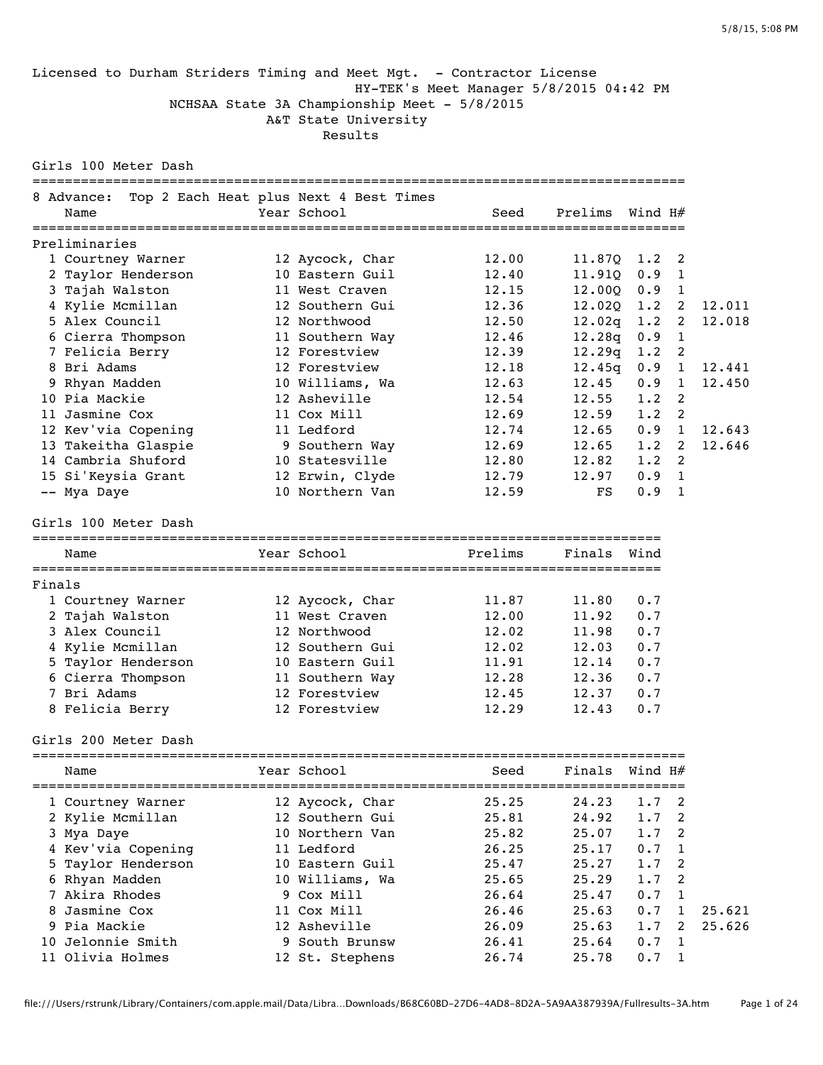#### Licensed to Durham Striders Timing and Meet Mgt. - Contractor License HY-TEK's Meet Manager 5/8/2015 04:42 PM NCHSAA State 3A Championship Meet - 5/8/2015 A&T State University Results

Girls 100 Meter Dash

|        | 8 Advance:           | Top 2 Each Heat plus Next 4 Best Times |             |                  |               |                            |        |
|--------|----------------------|----------------------------------------|-------------|------------------|---------------|----------------------------|--------|
|        | Name                 | Year School                            | Seed        | Prelims          | Wind H#       |                            |        |
|        | Preliminaries        |                                        |             |                  |               |                            |        |
|        | 1 Courtney Warner    | 12 Aycock, Char                        | 12.00       | $11.870$ $1.2$ 2 |               |                            |        |
|        | 2 Taylor Henderson   | 10 Eastern Guil                        | 12.40       | 11.91Q           | $0.9 \quad 1$ |                            |        |
|        | 3 Tajah Walston      | 11 West Craven                         | 12.15       | 12.00Q           | $0.9 \quad 1$ |                            |        |
|        | 4 Kylie Mcmillan     | 12 Southern Gui                        | 12.36       | 12.020           | 1.2           | $\overline{\phantom{0}}$   | 12.011 |
|        | 5 Alex Council       | 12 Northwood                           | 12.50       | 12.02q           | 1.2           | $\overline{\phantom{0}}$   | 12.018 |
|        | 6 Cierra Thompson    | 11 Southern Way                        | 12.46       | 12.28q           | 0.9 1         |                            |        |
|        | 7 Felicia Berry      | 12 Forestview                          | 12.39       | 12.29q           | 1.2           | $\overline{\phantom{0}}^2$ |        |
|        | 8 Bri Adams          | 12 Forestview                          | 12.18       | 12.45q           | 0.9 1         |                            | 12.441 |
|        | 9 Rhyan Madden       | 10 Williams, Wa                        | 12.63       | 12.45            | $0.9 \quad 1$ |                            | 12.450 |
|        | 10 Pia Mackie        | 12 Asheville                           | 12.54       | 12.55            | $1.2$ 2       |                            |        |
|        | 11 Jasmine Cox       | 11 Cox Mill                            | 12.69       | 12.59            | $1.2 \quad 2$ |                            |        |
|        | 12 Kev'via Copening  | 11 Ledford                             | 12.74       | 12.65            | 0.9 1         |                            | 12.643 |
|        | 13 Takeitha Glaspie  | 9 Southern Way                         | 12.69       | 12.65            | $1.2 \quad 2$ |                            | 12.646 |
|        | 14 Cambria Shuford   | 10 Statesville                         | 12.80       | 12.82            | $1.2 \quad 2$ |                            |        |
|        | 15 Si'Keysia Grant   | 12 Erwin, Clyde                        | 12.79       | 12.97            | $0.9 \quad 1$ |                            |        |
|        | -- Mya Daye          | 10 Northern Van                        | 12.59       | FS               | $0.9 \quad 1$ |                            |        |
|        | Girls 100 Meter Dash |                                        |             |                  |               |                            |        |
|        | Name                 | Year School                            | Prelims     | Finals Wind      |               |                            |        |
|        |                      |                                        |             |                  |               |                            |        |
| Finals |                      |                                        |             |                  |               |                            |        |
|        | 1 Courtney Warner    | 12 Aycock, Char                        | 11.87       | 11.80            | 0.7           |                            |        |
|        | 2 Tajah Walston      | 11 West Craven                         | 12.00       | 11.92            | 0.7           |                            |        |
|        | 3 Alex Council       | 12 Northwood                           | 12.02       | 11.98            | 0.7           |                            |        |
|        | 4 Kylie Mcmillan     | 12 Southern Gui                        | 12.02       | 12.03            | 0.7           |                            |        |
|        | 5 Taylor Henderson   | 10 Eastern Guil                        | 11.91       | 12.14            | 0.7           |                            |        |
|        | 6 Cierra Thompson    | 11 Southern Way                        | 12.28       | 12.36            | 0.7           |                            |        |
|        | 7 Bri Adams          | 12 Forestview                          | 12.45       | 12.37            | 0.7           |                            |        |
|        | 8 Felicia Berry      | 12 Forestview                          | 12.29       | 12.43            | 0.7           |                            |        |
|        | Girls 200 Meter Dash |                                        |             |                  |               |                            |        |
|        | Name                 | Year School                            | <b>Seed</b> | Finals Wind H#   |               |                            |        |
|        | 1 Courtney Warner    | 12 Aycock, Char                        | 25.25       | 24.23            | 1.7           | 2                          |        |
|        | 2 Kylie Mcmillan     | 12 Southern Gui                        | 25.81       | 24.92            | 1.7           | 2                          |        |
|        | 3 Mya Daye           | 10 Northern Van                        | 25.82       | 25.07            | 1.7           | 2                          |        |
|        | 4 Kev'via Copening   | 11 Ledford                             | 26.25       | 25.17            | 0.7           | 1                          |        |
|        | 5 Taylor Henderson   | 10 Eastern Guil                        | 25.47       | 25.27            | 1.7           | 2                          |        |
|        | 6 Rhyan Madden       | 10 Williams, Wa                        | 25.65       | 25.29            | 1.7           | 2                          |        |
|        | 7 Akira Rhodes       | 9 Cox Mill                             | 26.64       | 25.47            | 0.7           | 1                          |        |
|        | 8 Jasmine Cox        | 11 Cox Mill                            | 26.46       | 25.63            | 0.7           | $\mathbf{1}$               | 25.621 |
|        | 9 Pia Mackie         | 12 Asheville                           | 26.09       | 25.63            | 1.7           | 2                          | 25.626 |
|        | 10 Jelonnie Smith    | 9 South Brunsw                         | 26.41       | 25.64            | 0.7           | $\mathbf{1}$               |        |
|        | 11 Olivia Holmes     | 12 St. Stephens                        | 26.74       | 25.78            | 0.7           | $\mathbf{1}$               |        |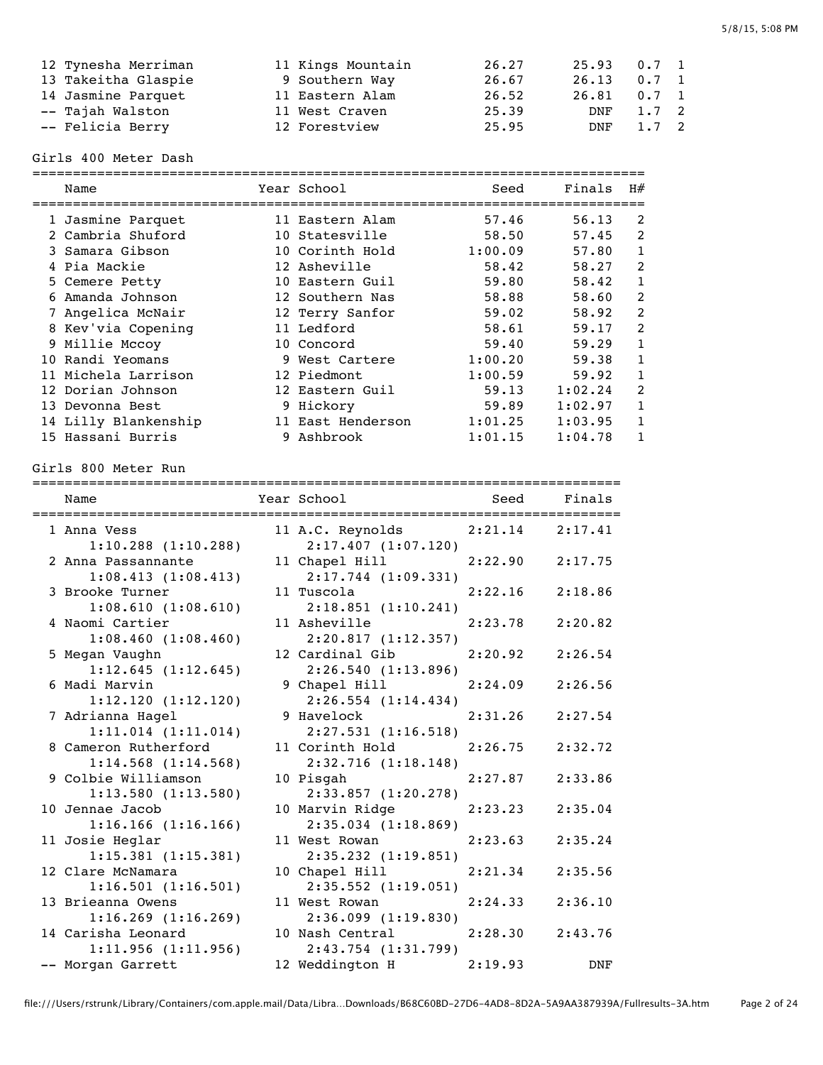| 12 Tynesha Merriman | 11 Kings Mountain | 26.27 | $25.93$ 0.7 1 |               |  |
|---------------------|-------------------|-------|---------------|---------------|--|
| 13 Takeitha Glaspie | 9 Southern Way    | 26.67 | 26.13         | $0.7 \quad 1$ |  |
| 14 Jasmine Parquet  | 11 Eastern Alam   | 26.52 | $26.81$ 0.7 1 |               |  |
| -- Tajah Walston    | 11 West Craven    | 25.39 | DNF           | $1.7 \quad 2$ |  |
| -- Felicia Berry    | 12 Forestview     | 25.95 | DNF           | 1.7 2         |  |

### Girls 400 Meter Dash

| Name                 | Year School       | Seed    | Finals  | H#             |
|----------------------|-------------------|---------|---------|----------------|
| 1 Jasmine Parquet    | 11 Eastern Alam   | 57.46   | 56.13   | 2              |
| 2 Cambria Shuford    | 10 Statesville    | 58.50   | 57.45   | 2              |
| 3 Samara Gibson      | 10 Corinth Hold   | 1:00.09 | 57.80   | 1              |
| 4 Pia Mackie         | 12 Asheville      | 58.42   | 58.27   | $\mathcal{P}$  |
| 5 Cemere Petty       | 10 Eastern Guil   | 59.80   | 58.42   | 1              |
| 6 Amanda Johnson     | 12 Southern Nas   | 58.88   | 58.60   | $\mathfrak{D}$ |
| 7 Angelica McNair    | 12 Terry Sanfor   | 59.02   | 58.92   | $\mathfrak{D}$ |
| 8 Kev'via Copening   | 11 Ledford        | 58.61   | 59.17   | $\mathfrak{D}$ |
| 9 Millie Mccoy       | 10 Concord        | 59.40   | 59.29   | 1              |
| 10 Randi Yeomans     | 9 West Cartere    | 1:00.20 | 59.38   | 1              |
| 11 Michela Larrison  | 12 Piedmont       | 1:00.59 | 59.92   | 1              |
| 12 Dorian Johnson    | 12 Eastern Guil   | 59.13   | 1:02.24 | $\mathfrak{D}$ |
| 13 Devonna Best      | 9 Hickory         | 59.89   | 1:02.97 | 1              |
| 14 Lilly Blankenship | 11 East Henderson | 1:01.25 | 1:03.95 | 1              |
| 15 Hassani Burris    | 9 Ashbrook        | 1:01.15 | 1:04.78 |                |

Girls 800 Meter Run

=========================================================================

| Name                                          | Year School                                    | Seed    | Finals     |
|-----------------------------------------------|------------------------------------------------|---------|------------|
| 1 Anna Vess<br>$1:10.288$ $(1:10.288)$        | 11 A.C. Reynolds 2:21.14<br>2:17.407(1:07.120) |         | 2:17.41    |
| 2 Anna Passannante                            | 11 Chapel Hill                                 | 2:22.90 | 2:17.75    |
| 1:08.413(1:08.413)<br>3 Brooke Turner         | $2:17.744$ $(1:09.331)$<br>11 Tuscola          | 2:22.16 | 2:18.86    |
| 1:08.610(1:08.610)<br>4 Naomi Cartier         | 2:18.851(1:10.241)<br>11 Asheville             | 2:23.78 | 2:20.82    |
| 1:08.460(1:08.460)<br>5 Megan Vaughn          | 2:20.817(1:12.357)<br>12 Cardinal Gib          | 2:20.92 | 2:26.54    |
| 1:12.645(1:12.645)<br>6 Madi Marvin           | 2:26.540(1:13.896)<br>9 Chapel Hill            | 2:24.09 | 2:26.56    |
| 1:12.120(1:12.120)<br>7 Adrianna Hagel        | $2:26.554$ $(1:14.434)$<br>9 Havelock          | 2:31.26 | 2:27.54    |
| 1:11.014(1:11.014)<br>8 Cameron Rutherford    | 2:27.531(1:16.518)<br>11 Corinth Hold          | 2:26.75 | 2:32.72    |
| 1:14.568(1:14.568)<br>9 Colbie Williamson     | 2:32.716 (1:18.148)<br>10 Pisgah               | 2:27.87 | 2:33.86    |
| $1:13.580$ $(1:13.580)$<br>10 Jennae Jacob    | $2:33.857$ $(1:20.278)$<br>10 Marvin Ridge     | 2:23.23 | 2:35.04    |
| $1:16.166$ $(1:16.166)$<br>11 Josie Heglar    | 2:35.034 (1:18.869)<br>11 West Rowan           | 2:23.63 | 2:35.24    |
| 1:15.381(1:15.381)<br>12 Clare McNamara       | 2:35.232(1:19.851)<br>10 Chapel Hill           | 2:21.34 | 2:35.56    |
| 1:16.501(1:16.501)<br>13 Brieanna Owens       | $2:35.552$ $(1:19.051)$<br>11 West Rowan       | 2:24.33 | 2:36.10    |
| $1:16.269$ $(1:16.269)$<br>14 Carisha Leonard | 2:36.099(1:19.830)<br>10 Nash Central          | 2:28.30 | 2:43.76    |
| 1:11.956(1:11.956)                            | $2:43.754$ $(1:31.799)$                        |         |            |
| -- Morgan Garrett                             | 12 Weddington H                                | 2:19.93 | <b>DNF</b> |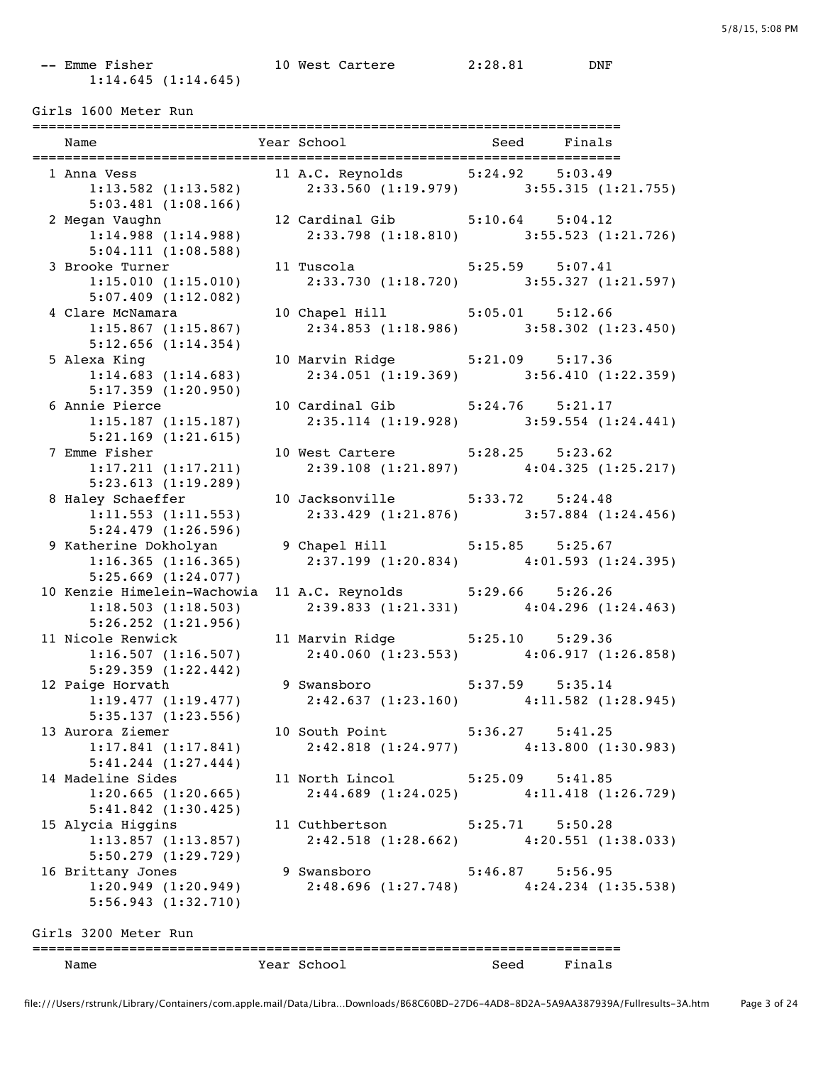## -- Emme Fisher 10 West Cartere 2:28.81 DNF 1:14.645 (1:14.645)

Girls 1600 Meter Run

| Name                                                | Year School                      | Seed<br>Finals                                                             |
|-----------------------------------------------------|----------------------------------|----------------------------------------------------------------------------|
| 1 Anna Vess                                         | 11 A.C. Reynolds 5:24.92 5:03.49 |                                                                            |
| $1:13.582$ (1:13.582)                               |                                  | $2:33.560$ (1:19.979) 3:55.315 (1:21.755)                                  |
| $5:03.481$ $(1:08.166)$                             |                                  |                                                                            |
| 2 Megan Vaughn                                      | 12 Cardinal Gib 5:10.64 5:04.12  |                                                                            |
| 1:14.988(1:14.988)                                  |                                  | $2:33.798$ (1:18.810) $3:55.523$ (1:21.726)                                |
| 5:04.111(1:08.588)                                  |                                  |                                                                            |
| 3 Brooke Turner                                     | 11 Tuscola    5:25.59    5:07.41 |                                                                            |
| 1:15.010(1:15.010)                                  |                                  | 2:33.730 (1:18.720) 3:55.327 (1:21.597)                                    |
| $5:07.409$ $(1:12.082)$                             |                                  |                                                                            |
| 4 Clare McNamara                                    | 10 Chapel Hill 5:05.01 5:12.66   |                                                                            |
| $1:15.867$ $(1:15.867)$                             |                                  | $2:34.853$ (1:18.986) 3:58.302 (1:23.450)                                  |
| $5:12.656$ $(1:14.354)$                             |                                  |                                                                            |
| 5 Alexa King                                        | 10 Marvin Ridge 5:21.09 5:17.36  |                                                                            |
| 1:14.683(1:14.683)                                  |                                  | $2:34.051(1:19.369)$ $3:56.410(1:22.359)$                                  |
| $5:17.359$ $(1:20.950)$                             |                                  |                                                                            |
| 6 Annie Pierce                                      | 10 Cardinal Gib 5:24.76 5:21.17  |                                                                            |
| $1:15.187$ $(1:15.187)$                             |                                  | 2:35.114 (1:19.928) 3:59.554 (1:24.441)                                    |
|                                                     |                                  |                                                                            |
| $5:21.169$ $(1:21.615)$                             |                                  |                                                                            |
| 7 Emme Fisher                                       | 10 West Cartere 5:28.25 5:23.62  | $2:39.108$ (1:21.897) $4:04.325$ (1:25.217)                                |
| 1:17.211(1:17.211)                                  |                                  |                                                                            |
| 5:23.613(1:19.289)                                  |                                  |                                                                            |
| 8 Haley Schaeffer                                   | 10 Jacksonville 5:33.72 5:24.48  |                                                                            |
| 1:11.553(1:11.553)                                  |                                  | 2:33.429 (1:21.876) 3:57.884 (1:24.456)                                    |
| 5:24.479(1:26.596)                                  |                                  |                                                                            |
| 9 Katherine Dokholyan 9 Chapel Hill 5:15.85 5:25.67 |                                  |                                                                            |
| 1:16.365(1:16.365)                                  |                                  | $2:37.199$ $(1:20.834)$ $4:01.593$ $(1:24.395)$                            |
| $5:25.669$ $(1:24.077)$                             |                                  |                                                                            |
| 10 Kenzie Himelein-Wachowia                         | 11 A.C. Reynolds 5:29.66 5:26.26 |                                                                            |
| 1:18.503(1:18.503)                                  |                                  | $2:39.833$ (1:21.331) $4:04.296$ (1:24.463)                                |
| $5:26.252$ $(1:21.956)$                             |                                  |                                                                            |
| 11 Nicole Renwick                                   |                                  | 11 Marvin Ridge 5:25.10 5:29.36<br>2:40.060 (1:23.553) 4:06.917 (1:26.858) |
| 1:16.507(1:16.507)                                  |                                  |                                                                            |
| 5:29.359(1:22.442)                                  |                                  |                                                                            |
| 12 Paige Horvath                                    | 9 Swansboro 5:37.59 5:35.14      |                                                                            |
|                                                     |                                  | 1:19.477 (1:19.477) 2:42.637 (1:23.160) 4:11.582 (1:28.945)                |
| 5:35.137(1:23.556)                                  |                                  |                                                                            |
| 13 Aurora Ziemer                                    | 10 South Point                   | $5:36.27$ $5:41.25$                                                        |
| 1:17.841(1:17.841)                                  |                                  | $2:42.818$ (1:24.977) $4:13.800$ (1:30.983)                                |
| $5:41.244$ $(1:27.444)$                             |                                  |                                                                            |
| 14 Madeline Sides                                   | 11 North Lincol 5:25.09 5:41.85  |                                                                            |
| $1:20.665$ $(1:20.665)$                             |                                  | $2:44.689$ (1:24.025) $4:11.418$ (1:26.729)                                |
| $5:41.842$ $(1:30.425)$                             |                                  |                                                                            |
| 15 Alycia Higgins                                   | 11 Cuthbertson 5:25.71 5:50.28   |                                                                            |
| $1:13.857$ $(1:13.857)$                             |                                  | $2:42.518$ (1:28.662) $4:20.551$ (1:38.033)                                |
| $5:50.279$ $(1:29.729)$                             |                                  |                                                                            |
| 16 Brittany Jones                                   | 9 Swansboro                      | $5:46.87$ $5:56.95$                                                        |
| 1:20.949(1:20.949)                                  |                                  | 2:48.696 (1:27.748) 4:24.234 (1:35.538)                                    |
|                                                     |                                  |                                                                            |
| 5:56.943(1:32.710)                                  |                                  |                                                                            |
| Girls 3200 Meter Run                                |                                  |                                                                            |
|                                                     |                                  |                                                                            |
| Name                                                | Year School                      | Finals<br>Seed                                                             |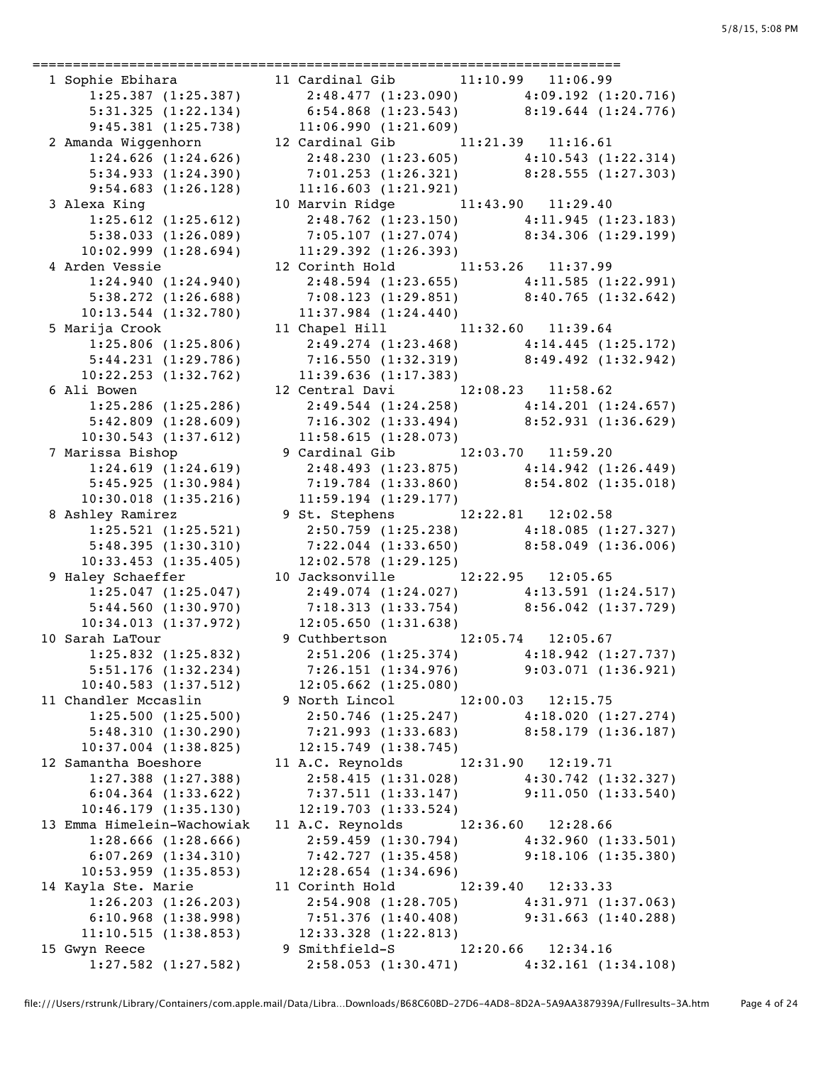========================================================================= 9:45.381 (1:25.738) 11:06.990 (1:21.609) 9:54.683 (1:26.128) 11:16.603 (1:21.921) 10:30.018 (1:35.216) 11:59.194 (1:29.177) 10:33.453 (1:35.405) 10:53.959 (1:35.853) 12:28.654 (1:34.696)

```
 1 Sophie Ebihara 11 Cardinal Gib 11:10.99 11:06.99 
     1:25.387 (1:25.387) 2:48.477 (1:23.090) 4:09.192 (1:20.716)<br>5:31.325 (1:22.134) 6:54.868 (1:23.543) 8:19.644 (1:24.776)
 5:31.325 (1:22.134) 6:54.868 (1:23.543) 8:19.644 (1:24.776)
 2 Amanda Wiggenhorn 12 Cardinal Gib 11:21.39 11:16.61 
 1:24.626 (1:24.626) 2:48.230 (1:23.605) 4:10.543 (1:22.314)
 5:34.933 (1:24.390) 7:01.253 (1:26.321) 8:28.555 (1:27.303)
  3 Alexa King 10 Marvin Ridge 11:43.90 11:29.40 
      1:25.612 (1:25.612) 2:48.762 (1:23.150) 4:11.945 (1:23.183)
     5:38.033 (1:25.012) 7:05.107 (1:27.074) 8:34.306 (1:29.199)
     10:02.999 (1:28.694) 11:29.392 (1:26.393)
  4 Arden Vessie 12 Corinth Hold 11:53.26 11:37.99 
 1:24.940 (1:24.940) 2:48.594 (1:23.655) 4:11.585 (1:22.991)
 5:38.272 (1:26.688) 7:08.123 (1:29.851) 8:40.765 (1:32.642)
    5:38.272 (1:26.688) 7:08.123 (1:29.851)<br>10:13.544 (1:32.780) 11:37.984 (1:24.440)
  5 Marija Crook 11 Chapel Hill 11:32.60 11:39.64 
      1:25.806 (1:25.806) 2:49.274 (1:23.468) 4:14.445 (1:25.172)
      5:44.231 (1:29.786) 7:16.550 (1:32.319) 8:49.492 (1:32.942)
     10:22.253 (1:32.762) 11:39.636 (1:17.383)
  6 Ali Bowen 12 Central Davi 12:08.23 11:58.62 
      1:25.286 (1:25.286) 2:49.544 (1:24.258) 4:14.201 (1:24.657)
      5:42.809 (1:28.609) 7:16.302 (1:33.494) 8:52.931 (1:36.629)
     10:30.543 (1:37.612) 11:58.615 (1:28.073)
  7 Marissa Bishop 9 Cardinal Gib 12:03.70 11:59.20 
 1:24.619 (1:24.619) 2:48.493 (1:23.875) 4:14.942 (1:26.449)
 5:45.925 (1:30.984) 7:19.784 (1:33.860) 8:54.802 (1:35.018)
  8 Ashley Ramirez 9 St. Stephens 12:22.81 12:02.58 
 1:25.521 (1:25.521) 2:50.759 (1:25.238) 4:18.085 (1:27.327)
 5:48.395 (1:30.310) 7:22.044 (1:33.650) 8:58.049 (1:36.006)
  9 Haley Schaeffer 10 Jacksonville 12:22.95 12:05.65 
 1:25.047 (1:25.047) 2:49.074 (1:24.027) 4:13.591 (1:24.517)
 5:44.560 (1:30.970) 7:18.313 (1:33.754) 8:56.042 (1:37.729)
    10:34.013 (1:37.972) 12:05.650 (1:31.638)
 10 Sarah LaTour 9 Cuthbertson 12:05.74 12:05.67 
                         1:25.832 (1:25.832) 2:51.206 (1:25.374) 4:18.942 (1:27.737)
      5:51.176 (1:32.234) 7:26.151 (1:34.976) 9:03.071 (1:36.921)
     10:40.583 (1:37.512) 12:05.662 (1:25.080)
 11 Chandler Mccaslin 9 North Lincol 12:00.03 12:15.75 
      1:25.500 (1:25.500) 2:50.746 (1:25.247) 4:18.020 (1:27.274)
      5:48.310 (1:30.290) 7:21.993 (1:33.683) 8:58.179 (1:36.187)
    10:37.004 (1:38.825) 12:15.749 (1:38.745) 12 Samantha Boeshore 11 A.C. Reynolds 12:31.90 12:19.71 
 1:27.388 (1:27.388) 2:58.415 (1:31.028) 4:30.742 (1:32.327)
 6:04.364 (1:33.622) 7:37.511 (1:33.147) 9:11.050 (1:33.540)
     10:46.179 (1:35.130) 12:19.703 (1:33.524)
 13 Emma Himelein-Wachowiak 11 A.C. Reynolds 12:36.60 12:28.66 
 1:28.666 (1:28.666) 2:59.459 (1:30.794) 4:32.960 (1:33.501)
 6:07.269 (1:34.310) 7:42.727 (1:35.458) 9:18.106 (1:35.380)
 14 Kayla Ste. Marie 11 Corinth Hold 12:39.40 12:33.33 
      1:26.203 (1:26.203) 2:54.908 (1:28.705) 4:31.971 (1:37.063)
 6:10.968 (1:38.998) 7:51.376 (1:40.408) 9:31.663 (1:40.288)
 11:10.515 (1:38.853) 12:33.328 (1:22.813)
0.10.505 (1.50.555)<br>11:10.515 (1:38.853) 12:33.328 (1:22.813)<br>9 Smithfield-S 12:20.66 12:34.16
      1:27.582 (1:27.582) 2:58.053 (1:30.471) 4:32.161 (1:34.108)
```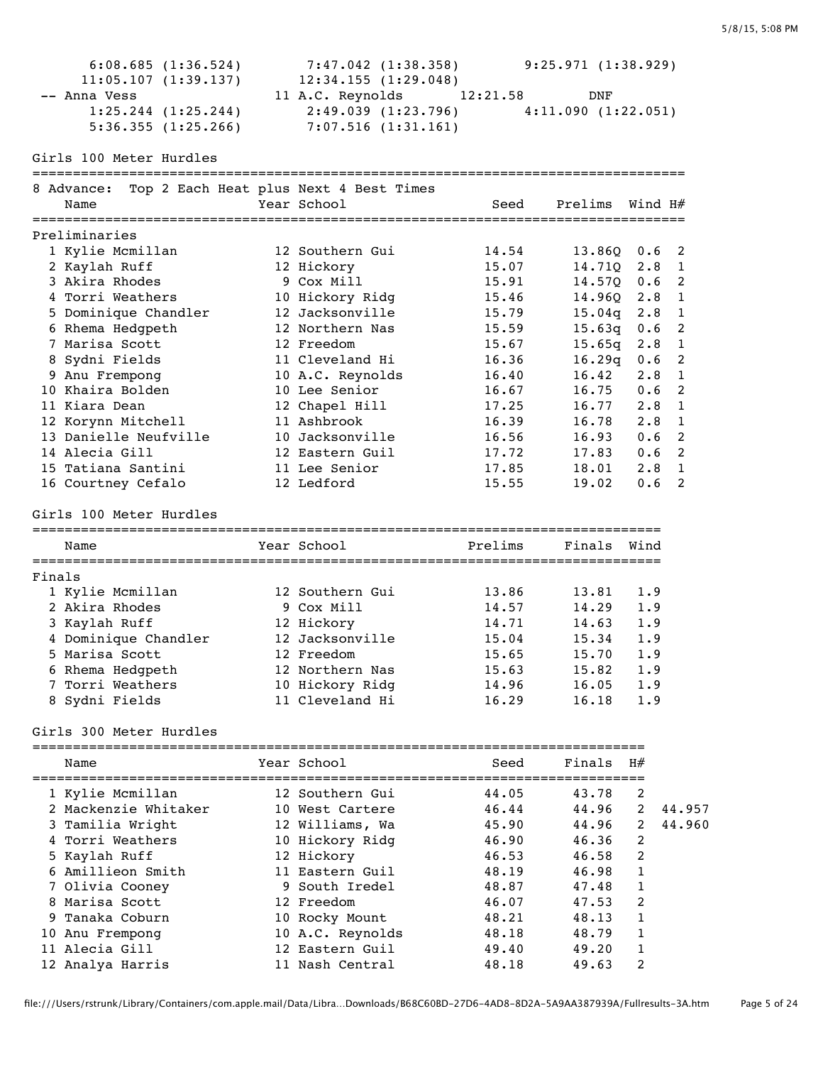|        | 6:08.685(1:36.524)<br>11:05.107(1:39.137)<br>-- Anna Vess<br>1:25.244(1:25.244)<br>5:36.355(1:25.266) | 7:47.042 (1:38.358)<br>12:34.155(1:29.048)<br>11 A.C. Reynolds<br>$2:49.039$ $(1:23.796)$ $4:11.090$ $(1:22.051)$<br>7:07.516(1:31.161) | 12:21.58       | 9:25.971(1:38.929)<br>DNF |             |                   |
|--------|-------------------------------------------------------------------------------------------------------|-----------------------------------------------------------------------------------------------------------------------------------------|----------------|---------------------------|-------------|-------------------|
|        | Girls 100 Meter Hurdles                                                                               |                                                                                                                                         |                |                           |             |                   |
|        | 8 Advance: Top 2 Each Heat plus Next 4 Best Times<br>Name                                             | Year School                                                                                                                             | Seed           | Prelims                   | Wind H#     |                   |
|        | Preliminaries                                                                                         |                                                                                                                                         |                |                           |             |                   |
|        | 1 Kylie Mcmillan                                                                                      | 12 Southern Gui                                                                                                                         | 14.54          | $13.86Q$ 0.6              |             | 2                 |
|        | 2 Kaylah Ruff                                                                                         | 12 Hickory                                                                                                                              | 15.07          | 14.710 2.8                |             | 1                 |
|        | 3 Akira Rhodes                                                                                        | 9 Cox Mill                                                                                                                              | 15.91          | $14.570$ 0.6              |             | 2                 |
|        | 4 Torri Weathers                                                                                      | 10 Hickory Ridg                                                                                                                         | 15.46          | 14.960 2.8                |             | 1                 |
|        | 5 Dominique Chandler                                                                                  | 12 Jacksonville                                                                                                                         | 15.79          | $15.04q$ 2.8              |             | 1                 |
|        | 6 Rhema Hedgpeth                                                                                      | 12 Northern Nas                                                                                                                         | 15.59          | 15.63q                    | 0.6         | 2                 |
|        | 7 Marisa Scott                                                                                        | 12 Freedom                                                                                                                              | 15.67          | 15.65q                    | $2 \cdot 8$ | 1                 |
|        | 8 Sydni Fields                                                                                        | 11 Cleveland Hi                                                                                                                         | 16.36          | 16.29q                    | 0.6         | 2                 |
|        | 9 Anu Frempong                                                                                        | 10 A.C. Reynolds                                                                                                                        | 16.40          | 16.42                     | 2.8         | 1                 |
|        | 10 Khaira Bolden<br>11 Kiara Dean                                                                     | 10 Lee Senior                                                                                                                           | 16.67<br>17.25 | 16.75<br>$16.77$ 2.8      | 0.6         | 2<br>$\mathbf{1}$ |
|        | 12 Korynn Mitchell                                                                                    | 12 Chapel Hill<br>11 Ashbrook                                                                                                           | 16.39          | $16.78$ 2.8               |             | 1                 |
|        | 13 Danielle Neufville                                                                                 | 10 Jacksonville                                                                                                                         | 16.56          | 16.93                     | 0.6         | 2                 |
|        | 14 Alecia Gill                                                                                        | 12 Eastern Guil                                                                                                                         | 17.72          | $17.83$ 0.6               |             | 2                 |
|        | 15 Tatiana Santini                                                                                    | 11 Lee Senior                                                                                                                           | 17.85          | 18.01                     | $2 \cdot 8$ | 1                 |
|        | 16 Courtney Cefalo                                                                                    | 12 Ledford                                                                                                                              | 15.55          | 19.02                     | 0.6         | 2                 |
|        | Girls 100 Meter Hurdles                                                                               |                                                                                                                                         |                |                           |             |                   |
|        | Name                                                                                                  | Year School                                                                                                                             | Prelims        | Finals                    | Wind        |                   |
| Finals |                                                                                                       |                                                                                                                                         |                |                           |             |                   |
|        | 1 Kylie Mcmillan                                                                                      | 12 Southern Gui                                                                                                                         | 13.86          | 13.81                     | 1.9         |                   |
|        | 2 Akira Rhodes                                                                                        | 9 Cox Mill                                                                                                                              | 14.57          | 14.29                     | 1.9         |                   |
|        | 3 Kaylah Ruff                                                                                         | 12 Hickory                                                                                                                              | 14.71          | 14.63                     | 1.9         |                   |
|        | 4 Dominique Chandler                                                                                  | 12 Jacksonville                                                                                                                         | 15.04          | 15.34                     | 1.9         |                   |
|        | 5 Marisa Scott                                                                                        | 12 Freedom                                                                                                                              | 15.65          | $15.70 \t1.9$             |             |                   |
|        | 6 Rhema Hedgpeth                                                                                      | 12 Northern Nas                                                                                                                         | 15.63          | 15.82                     | 1.9         |                   |
|        | 7 Torri Weathers                                                                                      | 10 Hickory Ridg                                                                                                                         | 14.96          | 16.05                     | 1.9         |                   |
|        | 8 Sydni Fields                                                                                        | 11 Cleveland Hi                                                                                                                         | 16.29          | 16.18                     | 1.9         |                   |
|        | Girls 300 Meter Hurdles                                                                               |                                                                                                                                         |                |                           |             |                   |
|        | Name                                                                                                  | Year School                                                                                                                             | Seed           | Finals                    | H#          |                   |
|        | 1 Kylie Mcmillan                                                                                      | 12 Southern Gui                                                                                                                         | 44.05          | 43.78                     | 2           |                   |
|        | 2 Mackenzie Whitaker                                                                                  | 10 West Cartere                                                                                                                         | 46.44          | 44.96                     | 2           | 44.957            |
|        | 3 Tamilia Wright                                                                                      | 12 Williams, Wa                                                                                                                         | 45.90          | 44.96                     | 2           | 44.960            |
|        | 4 Torri Weathers                                                                                      | 10 Hickory Ridg                                                                                                                         | 46.90          | 46.36                     | 2           |                   |
|        | 5 Kaylah Ruff                                                                                         | 12 Hickory                                                                                                                              | 46.53          | 46.58                     | 2           |                   |
|        | 6 Amillieon Smith                                                                                     | 11 Eastern Guil                                                                                                                         | 48.19          | 46.98                     | 1           |                   |
|        | 7 Olivia Cooney                                                                                       | 9 South Iredel                                                                                                                          | 48.87          | 47.48                     | 1           |                   |
|        | 8 Marisa Scott                                                                                        | 12 Freedom                                                                                                                              | 46.07          | 47.53                     | 2           |                   |
|        | 9 Tanaka Coburn                                                                                       | 10 Rocky Mount                                                                                                                          | 48.21          | 48.13                     | 1           |                   |
|        | 10 Anu Frempong                                                                                       | 10 A.C. Reynolds                                                                                                                        | 48.18          | 48.79                     | 1           |                   |
|        | 11 Alecia Gill                                                                                        | 12 Eastern Guil                                                                                                                         | 49.40          | 49.20                     | 1           |                   |
|        | 12 Analya Harris                                                                                      | 11 Nash Central                                                                                                                         | 48.18          | 49.63                     | 2           |                   |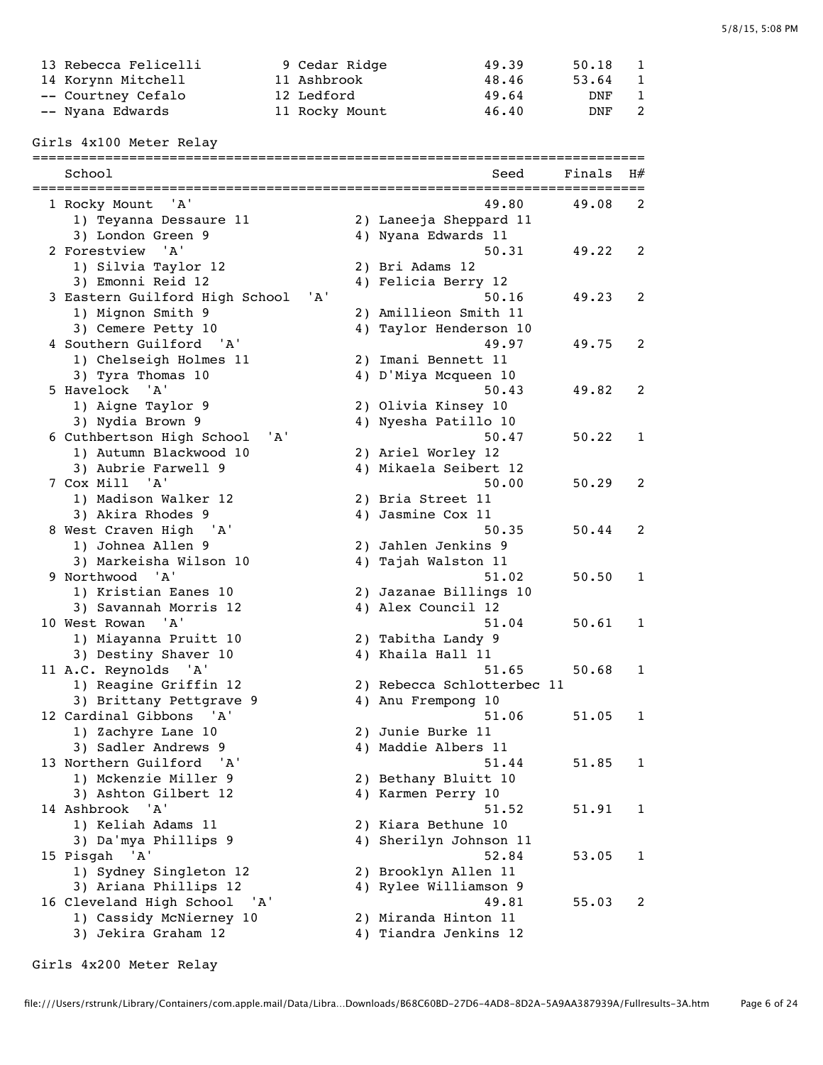| 13 Rebecca Felicelli | 9 Cedar Ridge  | 49.39 | 50.18 | $\mathbf{1}$ |
|----------------------|----------------|-------|-------|--------------|
| 14 Korynn Mitchell   | 11 Ashbrook    | 48.46 | 53.64 |              |
| -- Courtney Cefalo   | 12 Ledford     | 49.64 | DNF   | $\mathbf{1}$ |
| -- Nyana Edwards     | 11 Rocky Mount | 46.40 | DNF   | 2            |
|                      |                |       |       |              |

# Girls 4x100 Meter Relay

| :==================<br>School         | -==================================<br>Seed | Finals | H#           |
|---------------------------------------|---------------------------------------------|--------|--------------|
| 1 Rocky Mount<br>'A'                  | 49.80                                       | 49.08  | 2            |
| 1) Teyanna Dessaure 11                | 2) Laneeja Sheppard 11                      |        |              |
| 3) London Green 9                     | 4) Nyana Edwards 11                         |        |              |
| 2 Forestview<br>' A'                  | 50.31                                       | 49.22  | 2            |
| 1) Silvia Taylor 12                   | 2) Bri Adams 12                             |        |              |
| 3) Emonni Reid 12                     | 4) Felicia Berry 12                         |        |              |
| 3 Eastern Guilford High School<br>'A' | 50.16                                       | 49.23  | 2            |
| 1) Mignon Smith 9                     | 2) Amillieon Smith 11                       |        |              |
| 3) Cemere Petty 10                    | 4) Taylor Henderson 10                      |        |              |
| 4 Southern Guilford<br>'A'            | 49.97                                       | 49.75  | 2            |
| 1) Chelseigh Holmes 11                | 2) Imani Bennett 11                         |        |              |
| 3) Tyra Thomas 10                     | 4) D'Miya Mcqueen 10                        |        |              |
| 5 Havelock<br>' A'                    | 50.43                                       | 49.82  | 2            |
| 1) Aigne Taylor 9                     | 2) Olivia Kinsey 10                         |        |              |
| 3) Nydia Brown 9                      | 4) Nyesha Patillo 10                        |        |              |
| 6 Cuthbertson High School<br>'A'      | 50.47                                       | 50.22  | 1            |
| 1) Autumn Blackwood 10                | 2) Ariel Worley 12                          |        |              |
| 3) Aubrie Farwell 9                   | 4) Mikaela Seibert 12                       |        |              |
| 7 Cox Mill 'A'                        | 50.00                                       | 50.29  | 2            |
| 1) Madison Walker 12                  | 2) Bria Street 11                           |        |              |
| 3) Akira Rhodes 9                     | 4) Jasmine Cox 11                           |        |              |
| 8 West Craven High<br>'A'             | 50.35                                       | 50.44  | 2            |
| 1) Johnea Allen 9                     | 2) Jahlen Jenkins 9                         |        |              |
| 3) Markeisha Wilson 10                | 4) Tajah Walston 11                         |        |              |
| 9 Northwood<br>' A '                  | 51.02                                       | 50.50  | 1            |
| 1) Kristian Eanes 10                  | 2) Jazanae Billings 10                      |        |              |
| 3) Savannah Morris 12                 | 4) Alex Council 12                          |        |              |
| 10 West Rowan<br>' A'                 | 51.04                                       | 50.61  | 1            |
| 1) Miayanna Pruitt 10                 | 2) Tabitha Landy 9                          |        |              |
| 3) Destiny Shaver 10                  | 4) Khaila Hall 11                           |        |              |
| 11 A.C. Reynolds 'A'                  | 51.65                                       | 50.68  | 1            |
| 1) Reagine Griffin 12                 | 2) Rebecca Schlotterbec 11                  |        |              |
| 3) Brittany Pettgrave 9               | 4) Anu Frempong 10                          |        |              |
| 12 Cardinal Gibbons<br>'A'            | 51.06                                       | 51.05  | 1            |
| 1) Zachyre Lane 10                    | 2) Junie Burke 11                           |        |              |
| 3) Sadler Andrews 9                   | 4) Maddie Albers 11                         |        |              |
| 13 Northern Guilford<br>' A '         | 51.44                                       | 51.85  | $\mathbf{1}$ |
| 1) Mckenzie Miller 9                  | 2) Bethany Bluitt 10                        |        |              |
| 3) Ashton Gilbert 12                  | 4) Karmen Perry 10                          |        |              |
| 14 Ashbrook<br>'A'                    | 51.52                                       | 51.91  | 1            |
| 1) Keliah Adams 11                    | 2) Kiara Bethune 10                         |        |              |
| 3) Da'mya Phillips 9                  | 4) Sherilyn Johnson 11                      |        |              |
| 15 Pisgah<br>'A'                      | 52.84                                       | 53.05  | 1            |
| 1) Sydney Singleton 12                | 2) Brooklyn Allen 11                        |        |              |
| 3) Ariana Phillips 12                 | 4) Rylee Williamson 9                       |        |              |
| 16 Cleveland High School<br>' A '     | 49.81                                       | 55.03  | 2            |
| 1) Cassidy McNierney 10               | 2) Miranda Hinton 11                        |        |              |
| 3) Jekira Graham 12                   | 4) Tiandra Jenkins 12                       |        |              |
|                                       |                                             |        |              |

file:///Users/rstrunk/Library/Containers/com.apple.mail/Data/Libra…Downloads/B68C60BD-27D6-4AD8-8D2A-5A9AA387939A/Fullresults-3A.htm Page 6 of 24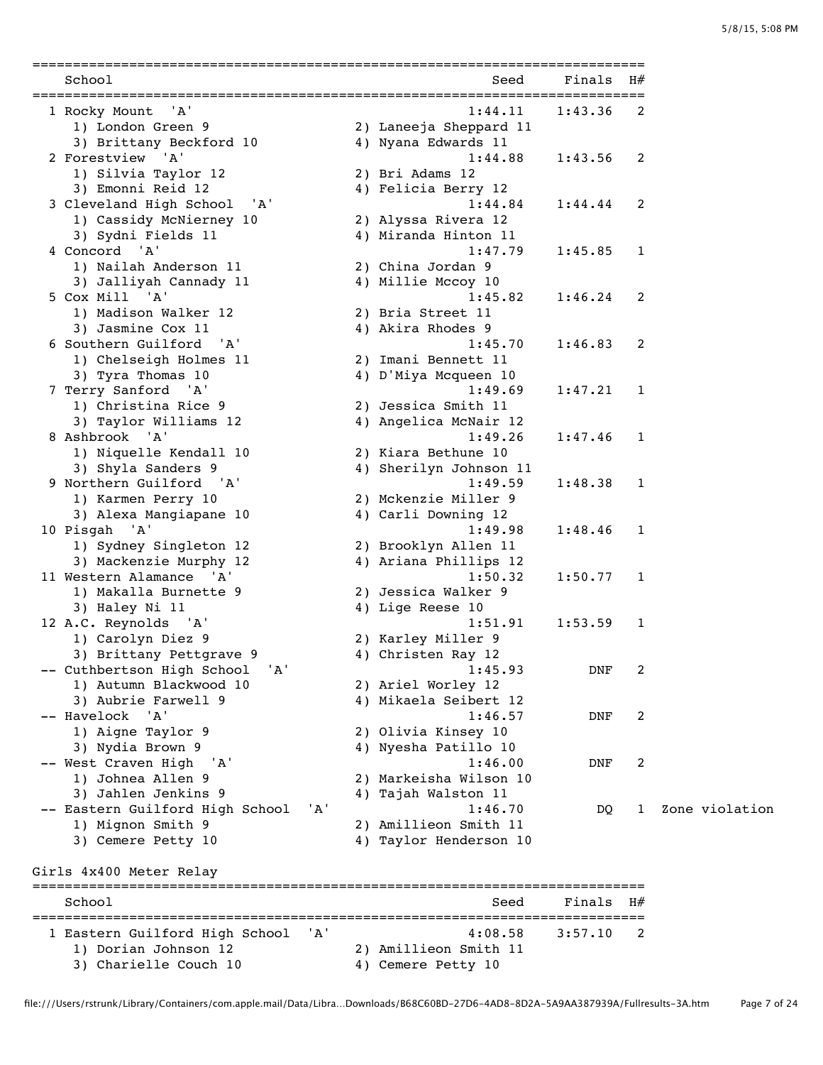| School                            |     | Seed                   | Finals  | H# |                |
|-----------------------------------|-----|------------------------|---------|----|----------------|
| 1 Rocky Mount<br>'A'              |     | 1:44.11                | 1:43.36 | 2  |                |
| 1) London Green 9                 |     | 2) Laneeja Sheppard 11 |         |    |                |
| 3) Brittany Beckford 10           |     | 4) Nyana Edwards 11    |         |    |                |
| 2 Forestview 'A'                  |     | 1:44.88                | 1:43.56 | 2  |                |
| 1) Silvia Taylor 12               |     | 2) Bri Adams 12        |         |    |                |
| 3) Emonni Reid 12                 |     | 4) Felicia Berry 12    |         |    |                |
| 3 Cleveland High School<br>' A '  |     | 1:44.84                | 1:44.44 | 2  |                |
| 1) Cassidy McNierney 10           |     | 2) Alyssa Rivera 12    |         |    |                |
| 3) Sydni Fields 11                |     | 4) Miranda Hinton 11   |         |    |                |
| 4 Concord 'A'                     |     | 1:47.79                | 1:45.85 | 1  |                |
| 1) Nailah Anderson 11             |     | 2) China Jordan 9      |         |    |                |
| 3) Jalliyah Cannady 11            |     | 4) Millie Mccoy 10     |         |    |                |
| 5 Cox Mill 'A'                    |     | 1:45.82                | 1:46.24 | 2  |                |
| 1) Madison Walker 12              |     | 2) Bria Street 11      |         |    |                |
| 3) Jasmine Cox 11                 |     | 4) Akira Rhodes 9      |         |    |                |
| 6 Southern Guilford 'A'           |     | 1:45.70                | 1:46.83 | 2  |                |
| 1) Chelseigh Holmes 11            |     | 2) Imani Bennett 11    |         |    |                |
| 3) Tyra Thomas 10                 |     | 4) D'Miya Mcqueen 10   |         |    |                |
| 7 Terry Sanford 'A'               |     | 1:49.69                | 1:47.21 | 1  |                |
| 1) Christina Rice 9               |     | 2) Jessica Smith 11    |         |    |                |
| 3) Taylor Williams 12             |     | 4) Angelica McNair 12  |         |    |                |
| 8 Ashbrook 'A'                    |     | 1:49.26                | 1:47.46 | 1  |                |
| 1) Niquelle Kendall 10            |     | 2) Kiara Bethune 10    |         |    |                |
| 3) Shyla Sanders 9                |     | 4) Sherilyn Johnson 11 |         |    |                |
| 9 Northern Guilford 'A'           |     | 1:49.59                | 1:48.38 | 1  |                |
| 1) Karmen Perry 10                |     | 2) Mckenzie Miller 9   |         |    |                |
| 3) Alexa Mangiapane 10            |     | 4) Carli Downing 12    |         |    |                |
| 10 Pisgah 'A'                     |     | 1:49.98                | 1:48.46 | 1  |                |
| 1) Sydney Singleton 12            |     | 2) Brooklyn Allen 11   |         |    |                |
| 3) Mackenzie Murphy 12            |     | 4) Ariana Phillips 12  |         |    |                |
| 11 Western Alamance 'A'           |     | 1:50.32                | 1:50.77 | 1  |                |
| 1) Makalla Burnette 9             |     | 2) Jessica Walker 9    |         |    |                |
| 3) Haley Ni 11                    |     | 4) Lige Reese 10       |         |    |                |
| 12 A.C. Reynolds 'A'              |     | 1:51.91                | 1:53.59 | 1  |                |
| 1) Carolyn Diez 9                 |     | 2) Karley Miller 9     |         |    |                |
| 3) Brittany Pettgrave 9           |     | 4) Christen Ray 12     |         |    |                |
| -- Cuthbertson High School<br>'A' |     | 1:45.93                | DNF     | 2  |                |
| 1) Autumn Blackwood 10            |     | 2) Ariel Worley 12     |         |    |                |
| 3) Aubrie Farwell 9               |     | 4) Mikaela Seibert 12  |         |    |                |
| -- Havelock<br>' A'               |     | 1:46.57                | DNF     | 2  |                |
| 1) Aigne Taylor 9                 |     | 2) Olivia Kinsey 10    |         |    |                |
| 3) Nydia Brown 9                  |     | 4) Nyesha Patillo 10   |         |    |                |
| -- West Craven High<br>'A'        |     | 1:46.00                | DNF     | 2  |                |
| 1) Johnea Allen 9                 |     | 2) Markeisha Wilson 10 |         |    |                |
| 3) Jahlen Jenkins 9               |     | 4) Tajah Walston 11    |         |    |                |
| -- Eastern Guilford High School   | 'A' | 1:46.70                | DQ.     | 1  | Zone violation |
| 1) Mignon Smith 9                 |     | 2) Amillieon Smith 11  |         |    |                |
| 3) Cemere Petty 10                |     | 4) Taylor Henderson 10 |         |    |                |
| Girls 4x400 Meter Relay           |     |                        |         |    |                |
| School                            |     | Seed                   | Finals  | H# |                |
|                                   |     |                        |         |    |                |
| 1 Eastern Guilford High School    | 'A' | 4:08.58                | 3:57.10 | 2  |                |
| 1) Dorian Johnson 12              |     | 2) Amillieon Smith 11  |         |    |                |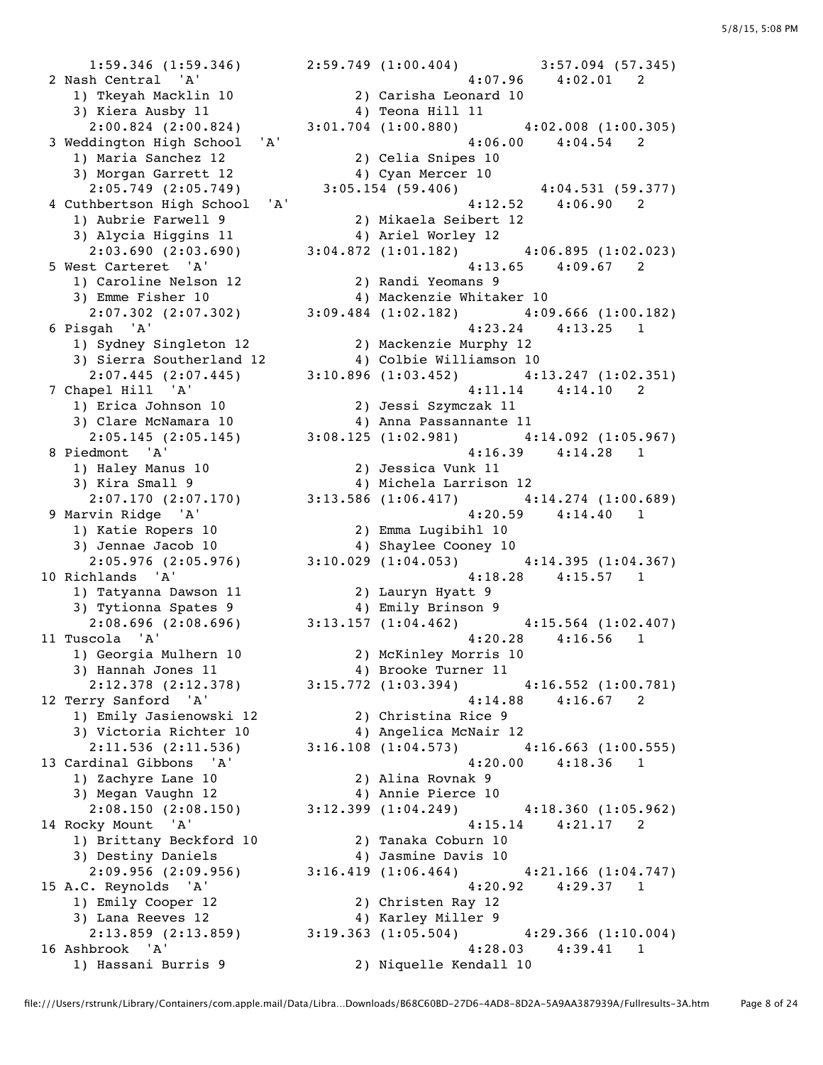3) Kiera Ausby 11<br>2:00.824 (2:00.824) 1) Maria Sanchez 12 2) Celia Snipes 10 2:05.749 (2:05.749) 3:05.154 (59.406) 3) Alycia Higgins 11 4) Ariel Worley 12 1) Caroline Nelson 12 2) Randi Yeomans 9 3) Emme Fisher 10 4) Mackenzie Whitaker 10 1) Sydney Singleton 12 2) Mackenzie Murphy 12 3) Sierra Southerland 12 4) Colbie Williamson 10 1) Erica Johnson 10 2) Jessi Szymczak 11 3) Clare McNamara 10 4) Anna Passannante 11 1) Haley Manus 10 2) Jessica Vunk 11<br>3) Kira Small 9 3 4) Michela Larrison 3) Kira Small 9 4) Michela Larrison 12 1) Katie Ropers 10 2) Emma Lugibihl 10<br>3) Jennae Jacob 10 4) Shaylee Cooney 10<br>2:05 075 (2:05 076) 2:10 020 (1:04 052) 3) Jennae Jacob 10 4) Shaylee Cooney 10 1) Tatyanna Dawson 11 2) Lauryn Hyatt 9 3) Tytionna Spates 9 4) Emily Brinson 9 1) Georgia Mulhern 10 2) McKinley Morris 10<br>1) Georgia Mulhern 10 2) McKinley Morris 10 3) Hannah Jones 11 4) Brooke Turner 11 1) Emily Jasienowski 12 2) Christina Rice 9 1) Zachyre Lane 10 2) Alina Rovnak 9 3) Megan Vaughn 12 4) Annie Pierce 10 1) Brittany Beckford 10 2) Tanaka Coburn 10 1) Brittany Beckford 10<br>3) Destiny Daniels 4) Jasmine Davis 10<br>2016 410 (1.06 464) 1) Emily Cooper 12 2) Christen Ray 12<br>3) Lana Reeves 12 4) Karley Miller 9 3) Lana Reeves 12 (4) Karley Miller 9

 1:59.346 (1:59.346) 2:59.749 (1:00.404) 3:57.094 (57.345) 2 Nash Central 'A' 4:07.96 4:02.01 2 1) Tkeyah Macklin 10 2) Carisha Leonard 10<br>
1) Tkeyah Macklin 10 2) Carisha Leonard 10<br>
2) Teona Hill 11 2:00.824 (2:00.824) 3:01.704 (1:00.880) 4:02.008 (1:00.305) 3 Weddington High School 'A' 4:06.00 4:04.54 2 3) Morgan Garrett 12 (2:05.749) <br>2:05.749 (2:05.749) <br>3:05.154 (59.406) <br>4:04.531 (59.377) 4 Cuthbertson High School 'A' 4:12.52 4:06.90 2 1) Aubrie Farwell 9 2) Mikaela Seibert 12 2:03.690 (2:03.690) 3:04.872 (1:01.182) 4:06.895 (1:02.023) 5 West Carteret 'A' 4:13.65 4:09.67 2 2:07.302 (2:07.302) 3:09.484 (1:02.182)  $4:09.666$  (1:00.182)<br>sgah 'A'  $4:23.24$   $4:13.25$  1 6 Pisgah 'A' 4:23.24 4:13.25 1 2:07.445 (2:07.445) 3:10.896 (1:03.452) 4:13.247 (1:02.351) 7 Chapel Hill 'A' 4:11.14 4:14.10 2 2:05.145 (2:05.145) 3:08.125 (1:02.981) 4:14.092 (1:05.967) 8 Piedmont 'A' 4:16.39 4:14.28 1 2:07.170 (2:07.170) 3:13.586 (1:06.417) 4:14.274 (1:00.689) 9 Marvin Ridge 'A' 4:20.59 4:14.40 1 2:05.976 (2:05.976) 3:10.029 (1:04.053) 4:14.395 (1:04.367) 10 Richlands 'A' 4:18.28 4:15.57 1 2:08.696 (2:08.696) 3:13.157 (1:04.462) 4:15.564 (1:02.407)<br>11 Tuscola 'A' 4:20.28 4:16.56 1  $4:20.28$   $4:16.56$  1 2:12.378 (2:12.378) 3:15.772 (1:03.394) 4:16.552 (1:00.781) 12 Terry Sanford 'A' 4:14.88 4:16.67 2 3) Victoria Richter 10 4) Angelica McNair 12 2:11.536 (2:11.536) 3:16.108 (1:04.573) 4:16.663 (1:00.555) 13 Cardinal Gibbons 'A' 4:20.00 4:18.36 1 2:08.150 (2:08.150) 3:12.399 (1:04.249) 4:18.360 (1:05.962) 14 Rocky Mount 'A' 4:15.14 4:21.17 2 2:09.956 (2:09.956) 3:16.419 (1:06.464) 4:21.166 (1:04.747) 15 A.C. Reynolds 'A' 4:20.92 4:29.37 1 2:13.859 (2:13.859) 3:19.363 (1:05.504) 4:29.366 (1:10.004) 16 Ashbrook 'A' 4:28.03 4:39.41 1

1) Hassani Burris 9 2) Niquelle Kendall 10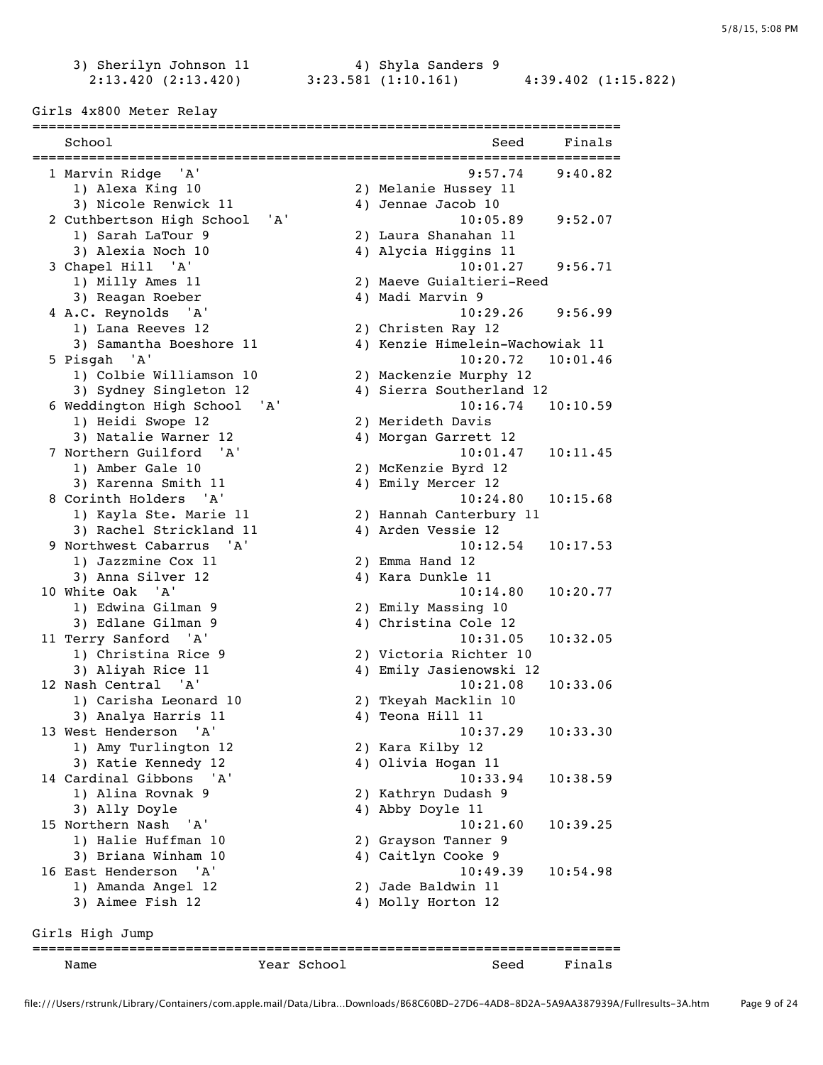2:13.420 (2:13.420) 3:23.581 (1:10.161) 4:39.402 (1:15.822)

3) Sherilyn Johnson 11 4) Shyla Sanders 9

| School                       |             | Seed                            | Finals   |
|------------------------------|-------------|---------------------------------|----------|
| 1 Marvin Ridge<br>'A'        |             | 9:57.74                         | 9:40.82  |
| 1) Alexa King 10             |             | 2) Melanie Hussey 11            |          |
| 3) Nicole Renwick 11         |             | 4) Jennae Jacob 10              |          |
| 2 Cuthbertson High School    | 'A'         | 10:05.89                        | 9:52.07  |
| 1) Sarah LaTour 9            |             | 2) Laura Shanahan 11            |          |
| 3) Alexia Noch 10            |             | 4) Alycia Higgins 11            |          |
| 3 Chapel Hill 'A'            |             | 10:01.27                        | 9:56.71  |
| 1) Milly Ames 11             |             | 2) Maeve Guialtieri-Reed        |          |
| 3) Reagan Roeber             |             | 4) Madi Marvin 9                |          |
| 4 A.C. Reynolds 'A'          |             | 10:29.26                        | 9:56.99  |
| 1) Lana Reeves 12            |             | 2) Christen Ray 12              |          |
| 3) Samantha Boeshore 11      |             | 4) Kenzie Himelein-Wachowiak 11 |          |
| 5 Pisgah<br>'A'              |             | 10:20.72                        | 10:01.46 |
| 1) Colbie Williamson 10      |             | 2) Mackenzie Murphy 12          |          |
| 3) Sydney Singleton 12       |             | 4) Sierra Southerland 12        |          |
| 6 Weddington High School     | 'A'         | 10:16.74                        | 10:10.59 |
|                              |             |                                 |          |
| 1) Heidi Swope 12            |             | 2) Merideth Davis               |          |
| 3) Natalie Warner 12         |             | 4) Morgan Garrett 12            |          |
| 7 Northern Guilford<br>' A'  |             | 10:01.47                        | 10:11.45 |
| 1) Amber Gale 10             |             | 2) McKenzie Byrd 12             |          |
| 3) Karenna Smith 11          |             | 4) Emily Mercer 12              |          |
| 8 Corinth Holders 'A'        |             | 10:24.80                        | 10:15.68 |
| 1) Kayla Ste. Marie 11       |             | 2) Hannah Canterbury 11         |          |
| 3) Rachel Strickland 11      |             | 4) Arden Vessie 12              |          |
| 9 Northwest Cabarrus<br>' A' |             | 10:12.54                        | 10:17.53 |
| 1) Jazzmine Cox 11           |             | 2) Emma Hand 12                 |          |
| 3) Anna Silver 12            |             | 4) Kara Dunkle 11               |          |
| 10 White Oak<br>'A'          |             | 10:14.80                        | 10:20.77 |
| 1) Edwina Gilman 9           |             | 2) Emily Massing 10             |          |
| 3) Edlane Gilman 9           |             | 4) Christina Cole 12            |          |
| 11 Terry Sanford 'A'         |             | 10:31.05                        | 10:32.05 |
| 1) Christina Rice 9          |             | 2) Victoria Richter 10          |          |
| 3) Aliyah Rice 11            |             | 4) Emily Jasienowski 12         |          |
| 12 Nash Central 'A'          |             | 10:21.08                        | 10:33.06 |
| 1) Carisha Leonard 10        |             | 2) Tkeyah Macklin 10            |          |
| 3) Analya Harris 11          |             | 4) Teona Hill 11                |          |
| 13 West Henderson<br>'A'     |             | 10:37.29                        | 10:33.30 |
| 1) Amy Turlington 12         |             | 2) Kara Kilby 12                |          |
| 3) Katie Kennedy 12          |             | 4) Olivia Hogan 11              |          |
| 14 Cardinal Gibbons<br>' A'  |             | 10:33.94                        | 10:38.59 |
| 1) Alina Rovnak 9            |             | 2) Kathryn Dudash 9             |          |
| 3) Ally Doyle                |             | 4) Abby Doyle 11                |          |
| 15 Northern Nash<br>'A'      |             | 10:21.60                        | 10:39.25 |
| 1) Halie Huffman 10          |             | 2) Grayson Tanner 9             |          |
| 3) Briana Winham 10          |             | 4) Caitlyn Cooke 9              |          |
| 16 East Henderson<br>'A'     |             | 10:49.39                        | 10:54.98 |
|                              |             |                                 |          |
| 1) Amanda Angel 12           |             | 2) Jade Baldwin 11              |          |
| 3) Aimee Fish 12             |             | 4) Molly Horton 12              |          |
| Girls High Jump              |             |                                 |          |
| Name                         | Year School | Seed                            | Finals   |
|                              |             |                                 |          |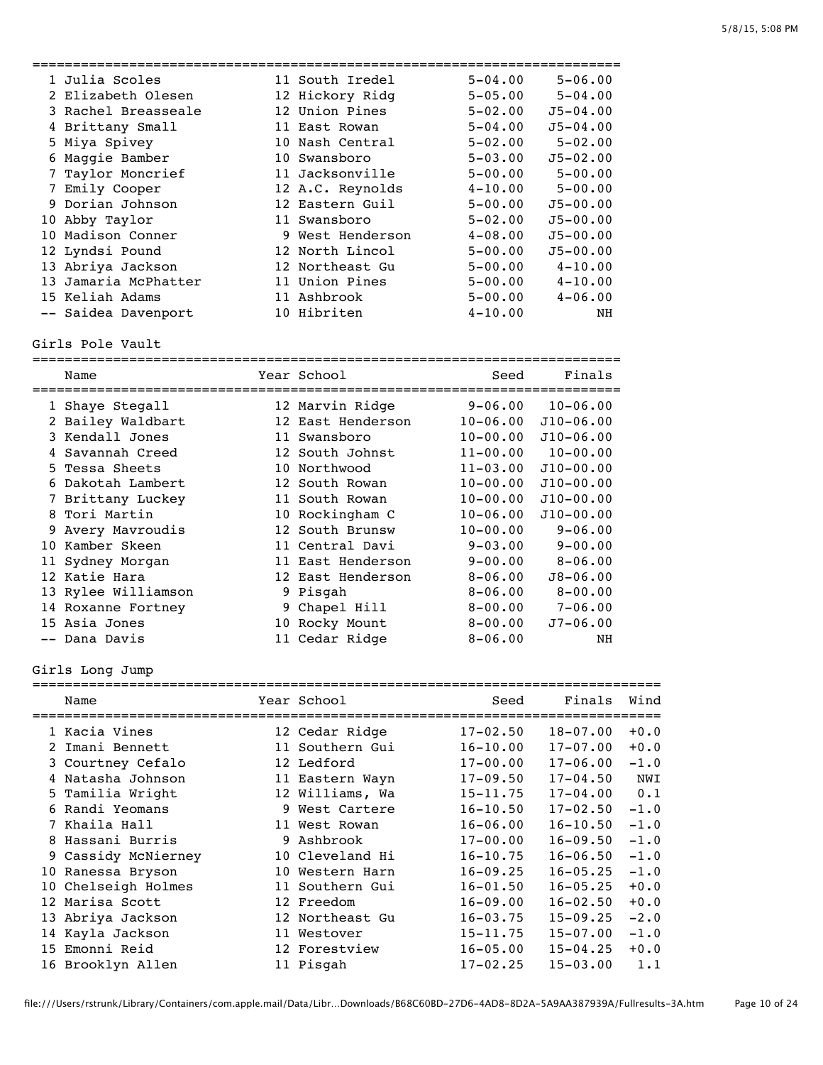=========================================================================

| 1 Julia Scoles       | 11 South Iredel  | $5 - 04.00$ | $5 - 06.00$  |
|----------------------|------------------|-------------|--------------|
| 2 Elizabeth Olesen   | 12 Hickory Ridg  | $5 - 05.00$ | $5 - 04.00$  |
| 3 Rachel Breasseale  | 12 Union Pines   | $5 - 02.00$ | $J5 - 04.00$ |
| 4 Brittany Small     | 11 East Rowan    | $5 - 04.00$ | $J5 - 04.00$ |
| 5 Miya Spivey        | 10 Nash Central  | $5 - 02.00$ | $5 - 02.00$  |
| 6 Maggie Bamber      | 10 Swansboro     | $5 - 03.00$ | $J5 - 02.00$ |
| 7 Taylor Moncrief    | 11 Jacksonville  | $5 - 00.00$ | $5 - 00.00$  |
| 7 Emily Cooper       | 12 A.C. Reynolds | $4 - 10.00$ | $5 - 00.00$  |
| 9 Dorian Johnson     | 12 Eastern Guil  | $5 - 00.00$ | $J5 - 00.00$ |
| 10 Abby Taylor       | 11 Swansboro     | $5 - 02.00$ | $J5 - 00.00$ |
| 10 Madison Conner    | 9 West Henderson | $4 - 08.00$ | $J5 - 00.00$ |
| 12 Lyndsi Pound      | 12 North Lincol  | $5 - 00.00$ | $J5 - 00.00$ |
| 13 Abriya Jackson    | 12 Northeast Gu  | $5 - 00.00$ | $4 - 10.00$  |
| 13 Jamaria McPhatter | 11 Union Pines   | $5 - 00.00$ | $4 - 10.00$  |
| 15 Keliah Adams      | 11 Ashbrook      | $5 - 00.00$ | $4 - 06.00$  |
| -- Saidea Davenport  | 10 Hibriten      | $4 - 10.00$ | NH           |

Girls Pole Vault

|    | Name                |  | Year School<br>-------------- | Seed         | Finals        |  |  |  |  |  |
|----|---------------------|--|-------------------------------|--------------|---------------|--|--|--|--|--|
|    | 1 Shaye Stegall     |  | 12 Marvin Ridge               | $9 - 06.00$  | $10 - 06.00$  |  |  |  |  |  |
|    | 2 Bailey Waldbart   |  | 12 East Henderson             | $10 - 06.00$ | $J10 - 06.00$ |  |  |  |  |  |
|    | 3 Kendall Jones     |  | 11 Swansboro                  | $10 - 00.00$ | $J10 - 06.00$ |  |  |  |  |  |
|    | 4 Savannah Creed    |  | 12 South Johnst               | $11 - 00.00$ | $10 - 00.00$  |  |  |  |  |  |
|    | 5 Tessa Sheets      |  | 10 Northwood                  | $11 - 03.00$ | $J10 - 00.00$ |  |  |  |  |  |
|    | 6 Dakotah Lambert   |  | 12 South Rowan                | $10 - 00.00$ | $J10 - 00.00$ |  |  |  |  |  |
|    | 7 Brittany Luckey   |  | 11 South Rowan                | $10 - 00.00$ | $J10 - 00.00$ |  |  |  |  |  |
|    | 8 Tori Martin       |  | 10 Rockingham C               | $10 - 06.00$ | $J10-00.00$   |  |  |  |  |  |
|    | 9 Avery Mavroudis   |  | 12 South Brunsw               | $10 - 00.00$ | $9 - 06.00$   |  |  |  |  |  |
| 10 | Kamber Skeen        |  | 11 Central Davi               | $9 - 03.00$  | $9 - 00.00$   |  |  |  |  |  |
|    | 11 Sydney Morgan    |  | 11 East Henderson             | $9 - 00.00$  | $8 - 06.00$   |  |  |  |  |  |
|    | 12 Katie Hara       |  | 12 East Henderson             | $8 - 06.00$  | $J8 - 06.00$  |  |  |  |  |  |
|    | 13 Rylee Williamson |  | 9 Pisgah                      | $8 - 06.00$  | $8 - 00.00$   |  |  |  |  |  |
|    | 14 Roxanne Fortney  |  | 9 Chapel Hill                 | $8 - 00.00$  | $7 - 06.00$   |  |  |  |  |  |
|    | 15 Asia Jones       |  | 10 Rocky Mount                | $8 - 00.00$  | $J7 - 06.00$  |  |  |  |  |  |
|    | -- Dana Davis       |  | 11 Cedar Ridge                | $8 - 06.00$  | NH            |  |  |  |  |  |

## Girls Long Jump

| Name<br>============================ |  | Year School<br>====================== | Seed         | Finals       | Wind   |
|--------------------------------------|--|---------------------------------------|--------------|--------------|--------|
| 1 Kacia Vines                        |  | 12 Cedar Ridge                        | $17 - 02.50$ | $18 - 07.00$ | $+0.0$ |
| 2 Imani Bennett                      |  | 11 Southern Gui                       | $16 - 10.00$ | $17 - 07.00$ | $+0.0$ |
| 3 Courtney Cefalo                    |  | 12 Ledford                            | $17 - 00.00$ | $17 - 06.00$ | $-1.0$ |
| 4 Natasha Johnson                    |  | 11 Eastern Wayn                       | $17 - 09.50$ | $17 - 04.50$ | NWI    |
| 5 Tamilia Wright                     |  | 12 Williams, Wa                       | $15 - 11.75$ | $17 - 04.00$ | 0.1    |
| 6 Randi Yeomans                      |  | 9 West Cartere                        | $16 - 10.50$ | $17 - 02.50$ | $-1.0$ |
| 7 Khaila Hall                        |  | 11 West Rowan                         | $16 - 06.00$ | $16 - 10.50$ | $-1.0$ |
| 8 Hassani Burris                     |  | 9 Ashbrook                            | $17 - 00.00$ | $16 - 09.50$ | $-1.0$ |
| 9 Cassidy McNierney                  |  | 10 Cleveland Hi                       | $16 - 10.75$ | $16 - 06.50$ | $-1.0$ |
| 10 Ranessa Bryson                    |  | 10 Western Harn                       | $16 - 09.25$ | $16 - 05.25$ | $-1.0$ |
| 10 Chelseigh Holmes                  |  | 11 Southern Gui                       | $16 - 01.50$ | $16 - 05.25$ | $+0.0$ |
| 12 Marisa Scott                      |  | 12 Freedom                            | $16 - 09.00$ | $16 - 02.50$ | $+0.0$ |
| 13 Abriya Jackson                    |  | 12 Northeast Gu                       | $16 - 03.75$ | $15 - 09.25$ | $-2.0$ |
| 14 Kayla Jackson                     |  | 11 Westover                           | $15 - 11.75$ | $15 - 07.00$ | $-1.0$ |
| 15 Emonni Reid                       |  | 12 Forestview                         | $16 - 05.00$ | $15 - 04.25$ | $+0.0$ |
| 16 Brooklyn Allen                    |  | 11 Pisgah                             | $17 - 02.25$ | $15 - 03.00$ | 1.1    |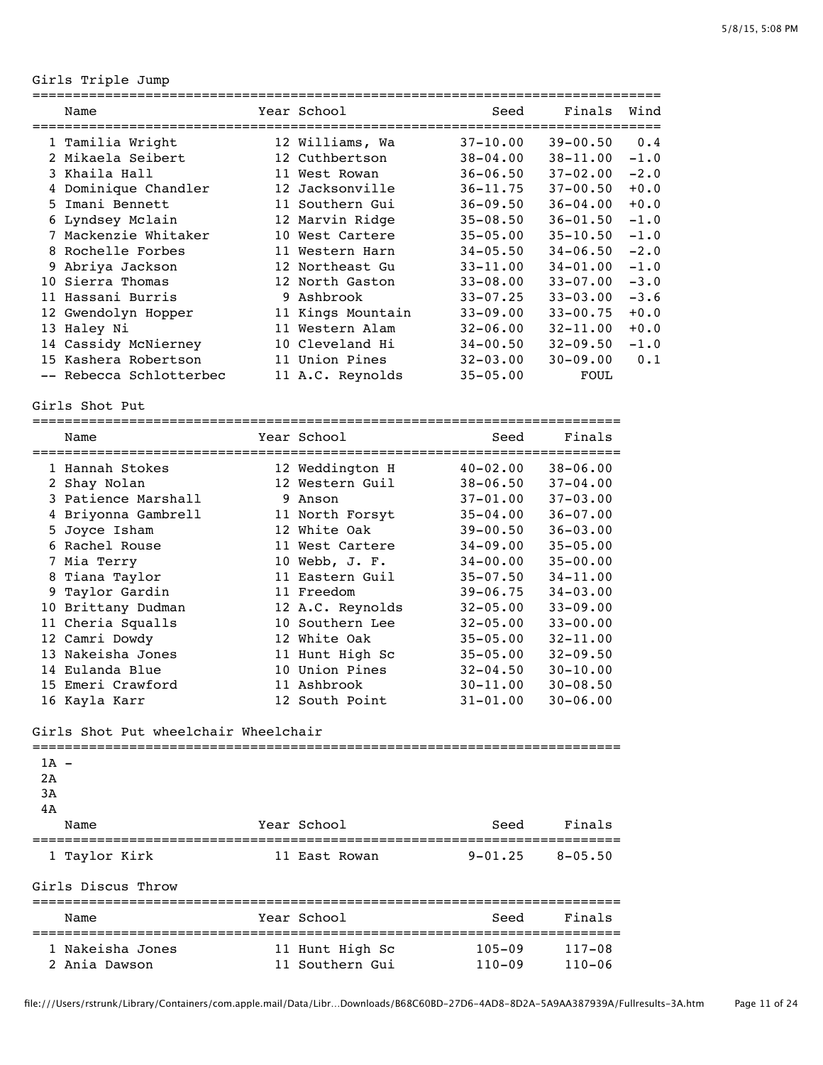## Girls Triple Jump

|                | Name                 |  | Year School       | Seed         | Finals       | Wind   |
|----------------|----------------------|--|-------------------|--------------|--------------|--------|
|                | 1 Tamilia Wright     |  | 12 Williams, Wa   | $37 - 10.00$ | $39 - 00.50$ | 0.4    |
|                | 2 Mikaela Seibert    |  | 12 Cuthbertson    | $38 - 04.00$ | $38 - 11.00$ | $-1.0$ |
|                | 3 Khaila Hall        |  | 11 West Rowan     | $36 - 06.50$ | $37 - 02.00$ | $-2.0$ |
| 4              | Dominique Chandler   |  | 12 Jacksonville   | $36 - 11.75$ | $37 - 00.50$ | $+0.0$ |
| 5.             | Imani Bennett        |  | 11 Southern Gui   | $36 - 09.50$ | $36 - 04.00$ | $+0.0$ |
|                | 6 Lyndsey Mclain     |  | 12 Marvin Ridge   | $35 - 08.50$ | $36 - 01.50$ | $-1.0$ |
| 7              | Mackenzie Whitaker   |  | 10 West Cartere   | $35 - 05.00$ | $35 - 10.50$ | $-1.0$ |
| 8              | Rochelle Forbes      |  | 11 Western Harn   | $34 - 05.50$ | $34 - 06.50$ | $-2.0$ |
| 9              | Abriya Jackson       |  | 12 Northeast Gu   | $33 - 11.00$ | $34 - 01.00$ | $-1.0$ |
|                | 10 Sierra Thomas     |  | 12 North Gaston   | $33 - 08.00$ | $33 - 07.00$ | $-3.0$ |
| 11             | Hassani Burris       |  | 9 Ashbrook        | $33 - 07.25$ | $33 - 03.00$ | $-3.6$ |
|                | 12 Gwendolyn Hopper  |  | 11 Kings Mountain | $33 - 09.00$ | $33 - 00.75$ | $+0.0$ |
|                | 13 Haley Ni          |  | 11 Western Alam   | $32 - 06.00$ | $32 - 11.00$ | $+0.0$ |
|                | 14 Cassidy McNierney |  | 10 Cleveland Hi   | $34 - 00.50$ | $32 - 09.50$ | $-1.0$ |
|                | 15 Kashera Robertson |  | 11 Union Pines    | $32 - 03.00$ | $30 - 09.00$ | 0.1    |
|                | Rebecca Schlotterbec |  | 11 A.C. Reynolds  | $35 - 05.00$ | FOUL         |        |
| Girls Shot Put |                      |  |                   |              |              |        |
|                | Name                 |  | Year School       | Seed         | Finals       |        |

| 1 Hannah Stokes     | 12 Weddington H  | $40 - 02.00$ | $38 - 06.00$ |
|---------------------|------------------|--------------|--------------|
| 2 Shay Nolan        | 12 Western Guil  | $38 - 06.50$ | $37 - 04.00$ |
| 3 Patience Marshall | 9 Anson          | $37 - 01.00$ | $37 - 03.00$ |
| 4 Briyonna Gambrell | 11 North Forsyt  | $35 - 04.00$ | $36 - 07.00$ |
| 5 Joyce Isham       | 12 White Oak     | $39 - 00.50$ | $36 - 03.00$ |
| 6 Rachel Rouse      | 11 West Cartere  | $34 - 09.00$ | $35 - 05.00$ |
| 7 Mia Terry         | 10 Webb, J. F.   | $34 - 00.00$ | $35 - 00.00$ |
| 8 Tiana Taylor      | 11 Eastern Guil  | $35 - 07.50$ | $34 - 11.00$ |
| 9 Taylor Gardin     | 11 Freedom       | $39 - 06.75$ | $34 - 03.00$ |
| 10 Brittany Dudman  | 12 A.C. Reynolds | $32 - 05.00$ | $33 - 09.00$ |
| 11 Cheria Squalls   | 10 Southern Lee  | $32 - 05.00$ | $33 - 00.00$ |
| 12 Camri Dowdy      | 12 White Oak     | $35 - 05.00$ | $32 - 11.00$ |
| 13 Nakeisha Jones   | 11 Hunt High Sc  | $35 - 05.00$ | $32 - 09.50$ |
| 14 Eulanda Blue     | 10 Union Pines   | $32 - 04.50$ | $30 - 10.00$ |
| 15 Emeri Crawford   | 11 Ashbrook      | $30 - 11.00$ | $30 - 08.50$ |
| 16 Kayla Karr       | 12 South Point   | $31 - 01.00$ | $30 - 06.00$ |

### Girls Shot Put wheelchair Wheelchair

| $1A -$ |                    |                 |                       |            |
|--------|--------------------|-----------------|-----------------------|------------|
| 2A     |                    |                 |                       |            |
| 3A     |                    |                 |                       |            |
| 4A     |                    |                 |                       |            |
|        | Name               | Year School     | Seed                  | Finals     |
|        | 1 Taylor Kirk      | 11 East Rowan   | $9-01.25$ $8-05.50$   |            |
|        | Girls Discus Throw |                 |                       |            |
|        | Name               | Year School     | Seed                  | Finals     |
|        | 1 Nakeisha Jones   | 11 Hunt High Sc | $105 - 09$ $117 - 08$ |            |
|        | 2 Ania Dawson      | 11 Southern Gui | $110 - 09$            | $110 - 06$ |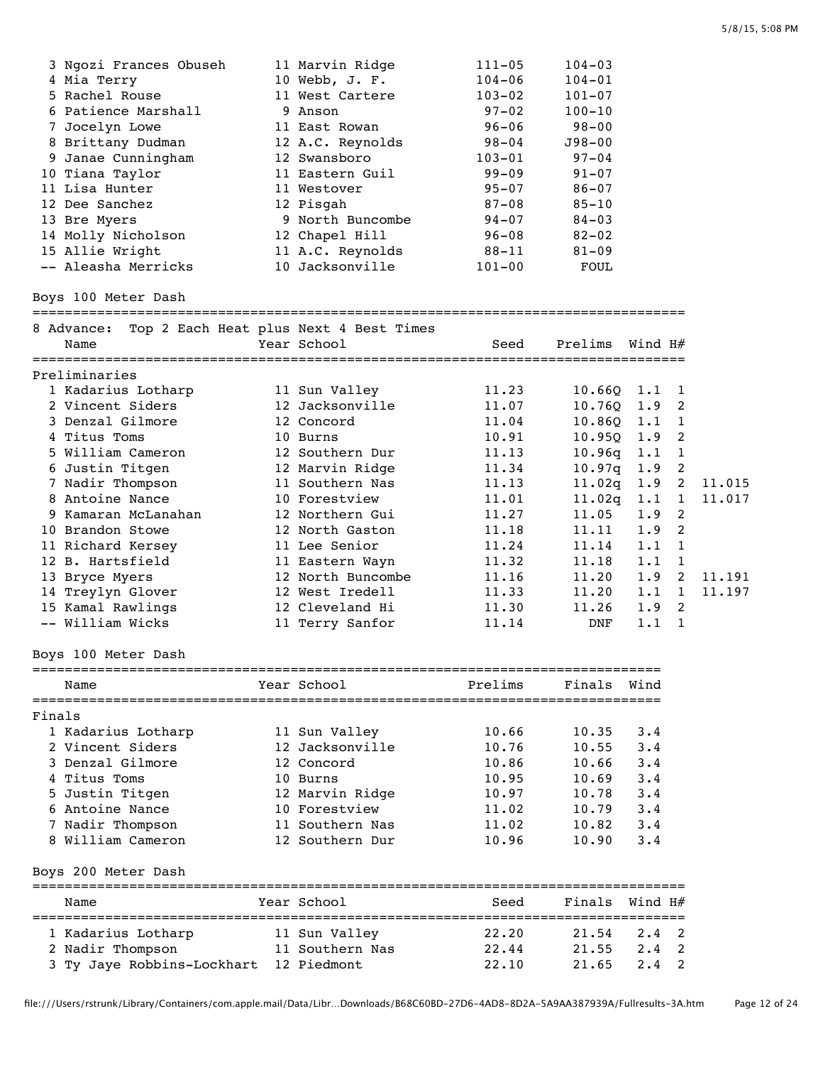| 3 Ngozi Frances Obuseh | 11 Marvin Ridge  | $111 - 05$ | $104 - 03$ |
|------------------------|------------------|------------|------------|
| 4 Mia Terry            | 10 Webb, J. F.   | $104 - 06$ | $104 - 01$ |
| 5 Rachel Rouse         | 11 West Cartere  | $103 - 02$ | $101 - 07$ |
| 6 Patience Marshall    | 9 Anson          | $97 - 02$  | $100 - 10$ |
| 7 Jocelyn Lowe         | 11 East Rowan    | $96 - 06$  | $98 - 00$  |
| 8 Brittany Dudman      | 12 A.C. Reynolds | $98 - 04$  | $J98 - 00$ |
| 9 Janae Cunningham     | 12 Swansboro     | $103 - 01$ | $97 - 04$  |
| 10 Tiana Taylor        | 11 Eastern Guil  | $99 - 09$  | $91 - 07$  |
| 11 Lisa Hunter         | 11 Westover      | $95 - 07$  | $86 - 07$  |
| 12 Dee Sanchez         | 12 Pisgah        | $87 - 08$  | $85 - 10$  |
| 13 Bre Myers           | 9 North Buncombe | $94 - 07$  | $84 - 03$  |
| 14 Molly Nicholson     | 12 Chapel Hill   | $96 - 08$  | $82 - 02$  |
| 15 Allie Wright        | 11 A.C. Reynolds | $88 - 11$  | $81 - 09$  |
| -- Aleasha Merricks    | 10 Jacksonville  | $101 - 00$ | FOUL       |

Boys 100 Meter Dash

=================================================================================

| 8 Advance:          | Top 2 Each Heat plus Next 4 Best Times |       |                  |               |                |        |
|---------------------|----------------------------------------|-------|------------------|---------------|----------------|--------|
| Name                | Year School                            | Seed  | Prelims          | Wind H#       |                |        |
| Preliminaries       |                                        |       |                  |               |                |        |
| 1 Kadarius Lotharp  | 11 Sun Valley                          | 11.23 | $10.660$ $1.1$ 1 |               |                |        |
| 2 Vincent Siders    | 12 Jacksonville                        | 11.07 | 10.760           | $1.9 \quad 2$ |                |        |
| 3 Denzal Gilmore    | 12 Concord                             | 11.04 | 10.860 1.1       |               |                |        |
| 4 Titus Toms        | 10 Burns                               | 10.91 | $10.950$ $1.9$   |               | $\overline{2}$ |        |
| 5 William Cameron   | 12 Southern Dur                        | 11.13 | 10.96q           | 1.1           | - 1            |        |
| 6 Justin Titgen     | 12 Marvin Ridge                        | 11.34 | 10.97q           | 1.9           | -2             |        |
| 7 Nadir Thompson    | 11 Southern Nas                        | 11.13 | 11.02q           | $1.9 \quad 2$ |                | 11.015 |
| 8 Antoine Nance     | 10 Forestview                          | 11.01 | $11.02q$ $1.1$ 1 |               |                | 11.017 |
| 9 Kamaran McLanahan | 12 Northern Gui                        | 11.27 | 11.05            | $1.9 \quad 2$ |                |        |
| 10 Brandon Stowe    | 12 North Gaston                        | 11.18 | 11.11            | 1.9           | $\overline{2}$ |        |
| 11 Richard Kersey   | 11 Lee Senior                          | 11.24 | 11.14            | 1.1           | $\overline{1}$ |        |
| 12 B. Hartsfield    | 11 Eastern Wayn                        | 11.32 | 11.18            | 1.1           | -1             |        |
| 13 Bryce Myers      | 12 North Buncombe                      | 11.16 | 11.20            | 1.9           | $\overline{2}$ | 11.191 |
| 14 Treylyn Glover   | 12 West Iredell                        | 11.33 | 11.20            | $1.1 \quad 1$ |                | 11.197 |
| 15 Kamal Rawlings   | 12 Cleveland Hi                        | 11.30 | 11.26            | 1.9           | $\overline{2}$ |        |
| -- William Wicks    | 11 Terry Sanfor                        | 11.14 | <b>DNF</b>       | 1.1           |                |        |

Boys 100 Meter Dash

| Name                   | Year School     | Prelims | Finals | Wind |
|------------------------|-----------------|---------|--------|------|
| Finals                 |                 |         |        |      |
| 1 Kadarius Lotharp     | 11 Sun Valley   | 10.66   | 10.35  | 3.4  |
| 2 Vincent Siders       | 12 Jacksonville | 10.76   | 10.55  | 3.4  |
| 3 Denzal Gilmore       | 12 Concord      | 10.86   | 10.66  | 3.4  |
| 4 Titus Toms           | 10 Burns        | 10.95   | 10.69  | 3.4  |
| 5 Justin Titgen        | 12 Marvin Ridge | 10.97   | 10.78  | 3.4  |
| 6 Antoine Nance        | 10 Forestview   | 11.02   | 10.79  | 3.4  |
| 7 Nadir Thompson       | 11 Southern Nas | 11.02   | 10.82  | 3.4  |
| 8 William Cameron      | 12 Southern Dur | 10.96   | 10.90  | 3.4  |
| 200 Meter Dash<br>Bovs |                 |         |        |      |

| Name                       | Year School     | Seed  | Finals Wind H# |               |  |
|----------------------------|-----------------|-------|----------------|---------------|--|
| 1 Kadarius Lotharp         | 11 Sun Valley   | 22.20 | 21.54          | 2.4 2         |  |
| 2 Nadir Thompson           | 11 Southern Nas | 22.44 | 21.55          | $2.4 \quad 2$ |  |
| 3 Ty Jaye Robbins-Lockhart | 12 Piedmont     | 22.10 | 21.65          | $2.4 \quad 2$ |  |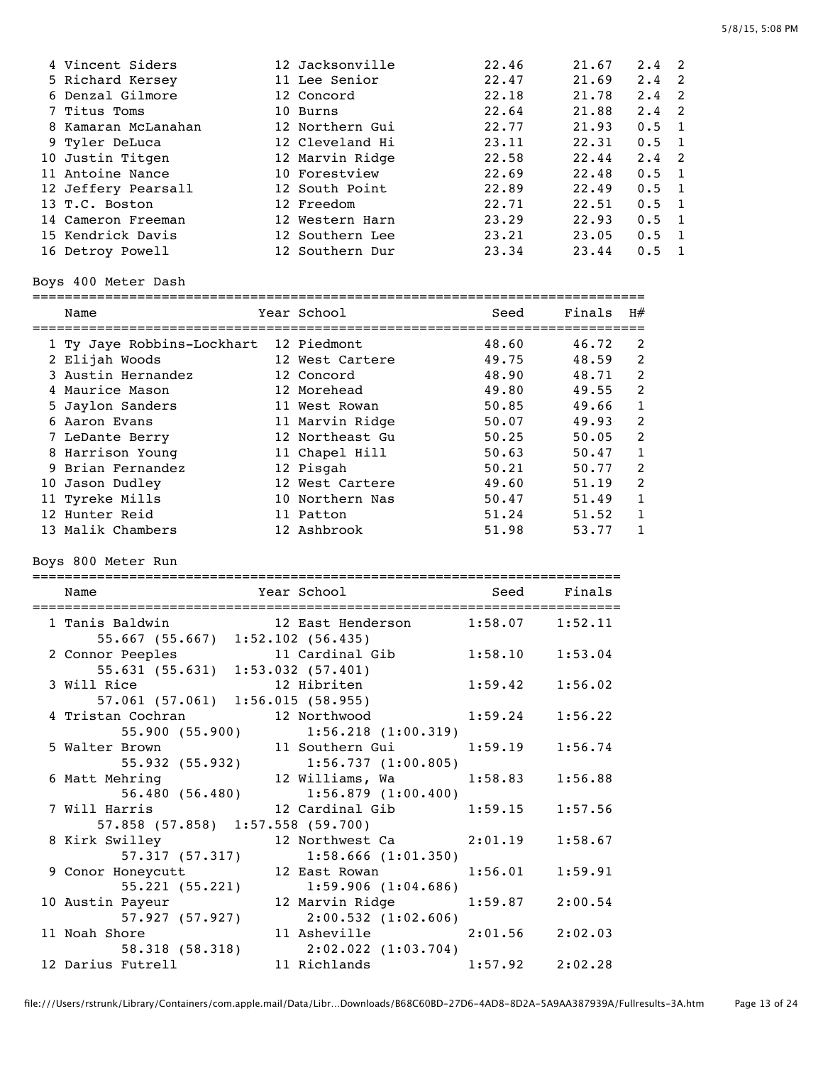| 4 Vincent Siders    | 12 Jacksonville | 22.46 | 21.67 | $2.4 \quad 2$ |                |
|---------------------|-----------------|-------|-------|---------------|----------------|
| 5 Richard Kersey    | 11 Lee Senior   | 22.47 | 21.69 | $2.4 \quad 2$ |                |
| 6 Denzal Gilmore    | 12 Concord      | 22.18 | 21.78 | 2.4           | - 2            |
| 7 Titus Toms        | 10 Burns        | 22.64 | 21.88 | $2.4 \quad 2$ |                |
| 8 Kamaran McLanahan | 12 Northern Gui | 22.77 | 21.93 | $0.5 \quad 1$ |                |
| 9 Tyler DeLuca      | 12 Cleveland Hi | 23.11 | 22.31 | $0.5 \quad 1$ |                |
| 10 Justin Titgen    | 12 Marvin Ridge | 22.58 | 22.44 | $2.4 \quad 2$ |                |
| 11 Antoine Nance    | 10 Forestview   | 22.69 | 22.48 | $0.5 \quad 1$ |                |
| 12 Jeffery Pearsall | 12 South Point  | 22.89 | 22.49 | $0.5 \quad 1$ |                |
| 13 T.C. Boston      | 12 Freedom      | 22.71 | 22.51 | $0.5 \quad 1$ |                |
| 14 Cameron Freeman  | 12 Western Harn | 23.29 | 22.93 | $0.5 \quad 1$ |                |
| 15 Kendrick Davis   | 12 Southern Lee | 23.21 | 23.05 | 0.5           | $\overline{1}$ |
| 16 Detroy Powell    | 12 Southern Dur | 23.34 | 23.44 | 0.5           |                |

## Boys 400 Meter Dash

| Name                                   | Year School     | Seed  | Finals | H#             |
|----------------------------------------|-----------------|-------|--------|----------------|
| 1 Ty Jaye Robbins-Lockhart 12 Piedmont |                 | 48.60 | 46.72  | 2              |
| 2 Elijah Woods                         | 12 West Cartere | 49.75 | 48.59  | $\mathcal{P}$  |
| 3 Austin Hernandez                     | 12 Concord      | 48.90 | 48.71  | $\mathfrak{D}$ |
| 4 Maurice Mason                        | 12 Morehead     | 49.80 | 49.55  | $\mathcal{P}$  |
| 5 Jaylon Sanders                       | 11 West Rowan   | 50.85 | 49.66  | 1              |
| 6 Aaron Evans                          | 11 Marvin Ridge | 50.07 | 49.93  | $\mathcal{P}$  |
| 7 LeDante Berry                        | 12 Northeast Gu | 50.25 | 50.05  | $\mathfrak{D}$ |
| 8 Harrison Young                       | 11 Chapel Hill  | 50.63 | 50.47  | $\mathbf{1}$   |
| 9 Brian Fernandez                      | 12 Pisgah       | 50.21 | 50.77  | 2              |
| 10 Jason Dudley                        | 12 West Cartere | 49.60 | 51.19  | $\mathfrak{D}$ |
| 11 Tyreke Mills                        | 10 Northern Nas | 50.47 | 51.49  |                |
| 12 Hunter Reid                         | 11 Patton       | 51.24 | 51.52  |                |
| 13 Malik Chambers                      | 12 Ashbrook     | 51.98 | 53.77  |                |

Boys 800 Meter Run

| Name                                                                                                 | Year School                                                                | Seed                | Finals  |
|------------------------------------------------------------------------------------------------------|----------------------------------------------------------------------------|---------------------|---------|
| 1 Tanis Baldwin 12 East Henderson 1:58.07 1:52.11<br>55.667 (55.667) 1:52.102 (56.435)               |                                                                            |                     |         |
| 2 Connor Peeples<br>nor Peeples 11 Cardinal Gib 1:58.10 1:53.04<br>55.631 (55.631) 1:53.032 (57.401) |                                                                            |                     |         |
| 12 Hibriten<br>3 Will Rice<br>57.061 (57.061) 1:56.015 (58.955)                                      |                                                                            | $1:59.42$ $1:56.02$ |         |
| 4 Tristan Cochran                                                                                    | 12 Northwood<br>55.900 (55.900) 1:56.218 (1:00.319)                        | $1:59.24$ $1:56.22$ |         |
| 5 Walter Brown<br>55.932 (55.932) 1:56.737 (1:00.805)                                                | 11 Southern Gui                                                            | $1:59.19$ $1:56.74$ |         |
| 6 Matt Mehring                                                                                       | 12 Williams, Wa 1:58.83 1:56.88<br>$56.480$ (56.480) $1:56.879$ (1:00.400) |                     |         |
| 7 Will Harris<br>57.858 (57.858) 1:57.558 (59.700)                                                   | 12 Cardinal Gib 1:59.15 1:57.56                                            |                     |         |
| 8 Kirk Swilley                                                                                       | $12$ Northwest Ca $2:01.19$                                                |                     | 1:58.67 |
| 9 Conor Honeycutt                                                                                    | 57.317 (57.317) 1:58.666 (1:01.350)<br>12 East Rowan                       | 1:56.01             | 1:59.91 |
| 10 Austin Payeur                                                                                     | 55.221 (55.221) 1:59.906 (1:04.686)<br>12 Marvin Ridge                     | $1:59.87$ $2:00.54$ |         |
| 11 Noah Shore                                                                                        | 57.927 (57.927) 2:00.532 (1:02.606)<br>11 Asheville                        | $2:01.56$ $2:02.03$ |         |
| 12 Darius Futrell                                                                                    | 58.318 (58.318) 2:02.022 (1:03.704)<br>11 Richlands                        | $1:57.92$ $2:02.28$ |         |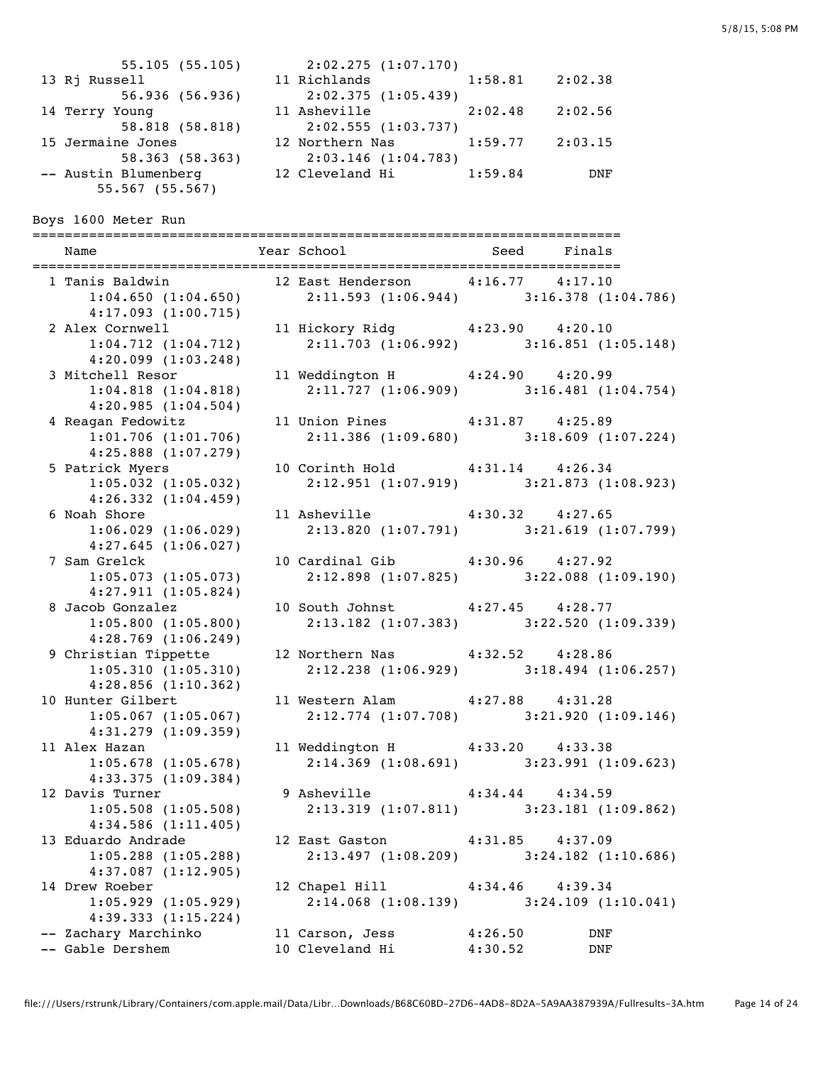13 Rj Russell 56.936 (56.936) 14 Terry Young 58.818 (58.818) 15 Jermaine Jones 58.363 (58.363) -- Austin Blumenberg 55.567 (55.567)

| 55.105(55.105)  | 2:02.275(1:07.170) |         |         |
|-----------------|--------------------|---------|---------|
| sell            | 11 Richlands       | 1:58.81 | 2:02.38 |
| 56.936(56.936)  | 2:02.375(1:05.439) |         |         |
| ounq!           | 11 Asheville       | 2:02.48 | 2:02.56 |
| 58.818 (58.818) | 2:02.555(1:03.737) |         |         |
| le Jones        | 12 Northern Nas    | 1:59.77 | 2:03.15 |
| 58.363(58.363)  | 2:03.146(1:04.783) |         |         |
| Blumenberg      | 12 Cleveland Hi    | 1:59.84 | DNF     |
|                 |                    |         |         |

Boys 1600 Meter Run

========================================================================= Name The Year School Seed Finals ========================================================================= 12 East Henderson 4:16.77 4:17.10 1:04.650 (1:04.650) 2:11.593 (1:06.944) 3:16.378 (1:04.786) 4:17.093 (1:00.715) 2 Alex Cornwell 11 Hickory Ridg 4:23.90 4:20.10 1:04.712 (1:04.712) 2:11.703 (1:06.992) 3:16.851 (1:05.148) 4:20.099 (1:03.248) 3 Mitchell Resor 11 Weddington H  $4:24.90$   $4:20.99$ <br>1:04.818 (1:04.818) 2:11.727 (1:06.909) 3:16.481 (1 1:04.818 (1:04.818) 2:11.727 (1:06.909) 3:16.481 (1:04.754) 4:20.985 (1:04.504) 4 Reagan Fedowitz 11 Union Pines 4:31.87 4:25.89 1:01.706 (1:01.706) 2:11.386 (1:09.680) 3:18.609 (1:07.224) 4:25.888 (1:07.279) 5 Patrick Myers 10 Corinth Hold 4:31.14 4:26.34 1:05.032 (1:05.032) 2:12.951 (1:07.919) 3:21.873 (1:08.923) 4:26.332 (1:04.459) 6 Noah Shore 11 Asheville 4:30.32 4:27.65 1:06.029 (1:06.029) 2:13.820 (1:07.791) 3:21.619 (1:07.799) 4:27.645 (1:06.027) 7 Sam Grelck 10 Cardinal Gib 4:30.96 4:27.92 1:05.073 (1:05.073) 2:12.898 (1:07.825) 3:22.088 (1:09.190) 4:27.911 (1:05.824) 8 Jacob Gonzalez 10 South Johnst 4:27.45 4:28.77 1:05.800 (1:05.800) 2:13.182 (1:07.383) 3:22.520 (1:09.339) 4:28.769 (1:06.249) 9 Christian Tippette 12 Northern Nas 4:32.52 4:28.86 1:05.310 (1:05.310) 2:12.238 (1:06.929) 3:18.494 (1:06.257) 4:28.856 (1:10.362) 10 Hunter Gilbert 11 Western Alam 4:27.88 4:31.28 1:05.067 (1:05.067) 2:12.774 (1:07.708) 3:21.920 (1:09.146) 4:31.279 (1:09.359) 11 Alex Hazan 11 Weddington H 4:33.20 4:33.38 1:05.678 (1:05.678) 2:14.369 (1:08.691) 3:23.991 (1:09.623) 4:33.375 (1:09.384) 12 Davis Turner 9 Asheville 4:34.44 4:34.59 1:05.508 (1:05.508) 2:13.319 (1:07.811) 3:23.181 (1:09.862) 4:34.586 (1:11.405) 13 Eduardo Andrade 12 East Gaston 4:31.85 4:37.09 1:05.288 (1:05.288) 2:13.497 (1:08.209) 3:24.182 (1:10.686) 4:37.087 (1:12.905) 14 Drew Roeber 12 Chapel Hill 4:34.46 4:39.34 1:05.929 (1:05.929) 2:14.068 (1:08.139) 3:24.109 (1:10.041) 4:39.333 (1:15.224) -- Zachary Marchinko 11 Carson, Jess 4:26.50 DNF -- Gable Dershem 10 Cleveland Hi 4:30.52 DNF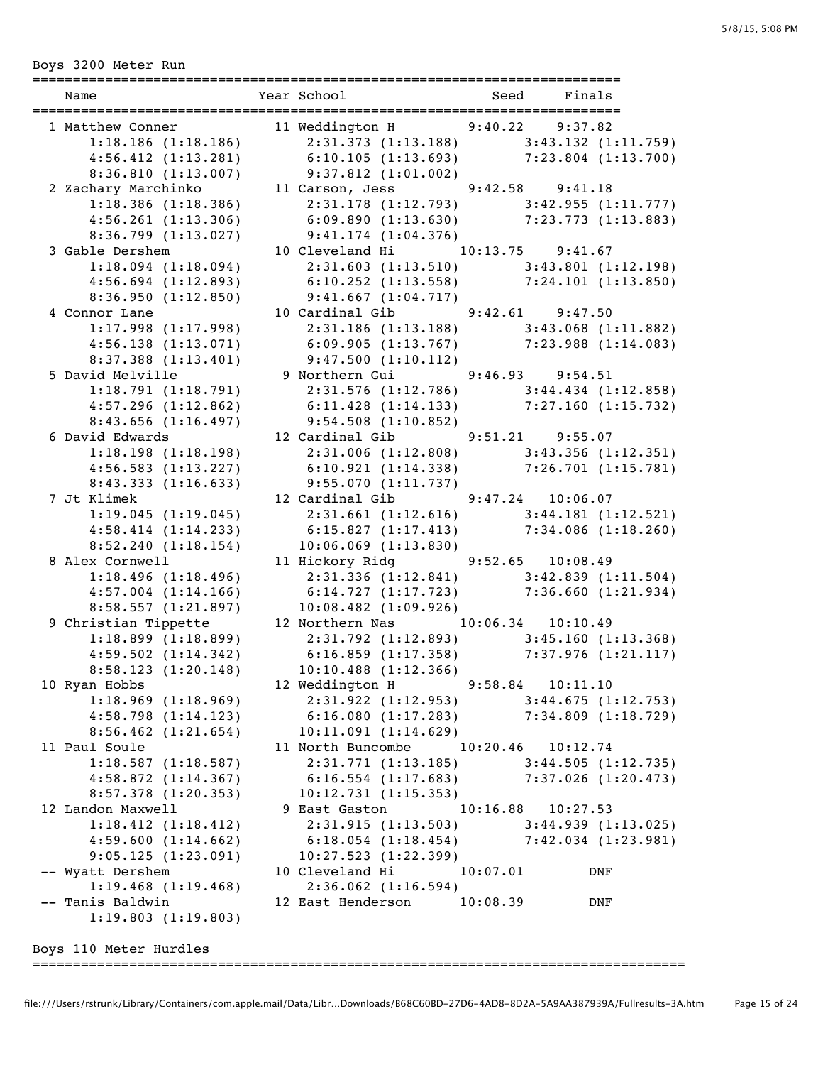Boys 3200 Meter Run

| ==========                                  |                                                                                                                                                                                      |                    |                     |
|---------------------------------------------|--------------------------------------------------------------------------------------------------------------------------------------------------------------------------------------|--------------------|---------------------|
| Name                                        | Year School and Seed Finals                                                                                                                                                          |                    |                     |
|                                             |                                                                                                                                                                                      |                    |                     |
| 1 Matthew Conner<br>$1:18.186$ $(1:18.186)$ | 11 Weddington H 9:40.22 9:37.82<br>$2:31.\overline{373}$ (1:13.188) $3:43.132$ (1:11.759)                                                                                            |                    |                     |
| 4:56.412(1:13.281)                          | $6:10.105$ $(1:13.693)$ $7:23.804$ $(1:13.700)$                                                                                                                                      |                    |                     |
| 8:36.810 (1:13.007) 9:37.812 (1:01.002)     |                                                                                                                                                                                      |                    |                     |
| 2 Zachary Marchinko                         | 11 Carson, Jess 9:42.58 9:41.18                                                                                                                                                      |                    |                     |
| $1:18.386$ $(1:18.386)$                     | $2:31.178$ (1:12.793) $3:42.955$ (1:11.777)                                                                                                                                          |                    |                     |
| $4:56.261$ $(1:13.306)$                     | 6:09.890 $(1:13.630)$ 7:23.773 $(1:13.883)$                                                                                                                                          |                    |                     |
| 8:36.799(1:13.027)                          | 9:41.174(1:04.376)                                                                                                                                                                   |                    |                     |
| 3 Gable Dershem                             | 10 Cleveland Hi 10:13.75 9:41.67                                                                                                                                                     |                    |                     |
| $1:18.094$ $(1:18.094)$                     |                                                                                                                                                                                      |                    |                     |
| 4:56.694(1:12.893)                          | $\begin{array}{llll} 2:31.603 & (1:13.510) & & 3:43.801 & (1:12.198) \\ 6:10.252 & (1:13.558) & & 7:24.101 & (1:13.850) \end{array}$                                                 |                    |                     |
| 8:36.950(1:12.850)                          | 9:41.667(1:04.717)                                                                                                                                                                   |                    |                     |
| 4 Connor Lane                               | 10 Cardinal Gib 9:42.61 9:47.50                                                                                                                                                      |                    |                     |
| 1:17.998(1:17.998)                          | $2:31.186$ (1:13.188) $3:43.068$ (1:11.882)                                                                                                                                          |                    |                     |
| 4:56.138(1:13.071)                          | $6:09.905(1:13.767)$ $7:23.988(1:14.083)$                                                                                                                                            |                    |                     |
| 8:37.388 (1:13.401)                         | 9:47.500(1:10.112)                                                                                                                                                                   |                    |                     |
| 5 David Melville                            | 9 Northern Gui 9:46.93 9:54.51                                                                                                                                                       |                    |                     |
| 1:18.791(1:18.791)                          | $2:31.576$ (1:12.786) $3:44.434$ (1:12.858)                                                                                                                                          |                    |                     |
| $4:57.296$ $(1:12.862)$                     | $6:11.428$ (1:14.133) $7:27.160$ (1:15.732)                                                                                                                                          |                    |                     |
| $8:43.656$ $(1:16.497)$                     | 9:54.508(1:10.852)                                                                                                                                                                   |                    |                     |
| 6 David Edwards                             | 12 Cardinal Gib 9:51.21 9:55.07                                                                                                                                                      |                    |                     |
| 1:18.198(1:18.198)                          | 2:31.006 (1:12.808) 3:43.356 (1:12.351)<br>6:10.921 (1:14.338) 7:26.701 (1:15.781)                                                                                                   |                    |                     |
| 4:56.583(1:13.227)                          |                                                                                                                                                                                      |                    |                     |
| 8:43.333(1:16.633)                          | 9:55.070(1:11.737)                                                                                                                                                                   |                    |                     |
| 7 Jt Klimek                                 | 12 Cardinal Gib 9:47.24 10:06.07                                                                                                                                                     |                    |                     |
| 1:19.045(1:19.045)                          | $2:31.661$ (1:12.616) $3:44.181$ (1:12.521)                                                                                                                                          |                    |                     |
| 4:58.414(1:14.233)                          | $6:15.827(1:17.413)$ $7:34.086(1:18.260)$                                                                                                                                            |                    |                     |
| 8:52.240(1:18.154)                          | $10:06.069$ $(1:13.830)$                                                                                                                                                             |                    |                     |
| 8 Alex Cornwell                             | 11 Hickory Ridg 9:52.65 10:08.49                                                                                                                                                     |                    |                     |
| $1:18.496$ $(1:18.496)$                     | $2:31.336$ $(1:12.841)$ $3:42.839$ $(1:11.504)$                                                                                                                                      |                    |                     |
| $4:57.004$ $(1:14.166)$                     | $6:14.727$ $(1:17.723)$ $7:36.660$ $(1:21.934)$                                                                                                                                      |                    |                     |
| $8:58.557$ (1:21.897) 10:08.482 (1:09.926)  | 12 Northern Nas 10:06.34 10:10.49                                                                                                                                                    |                    |                     |
| 9 Christian Tippette<br>1:18.899(1:18.899)  |                                                                                                                                                                                      |                    |                     |
| $4:59.502$ $(1:14.342)$                     | $2:31.792$ (1:12.893) $3:45.160$ (1:13.368)<br>$6:16.859$ (1:17.358)<br>10.10 188 11:12 10:10 10:10 188 11:12 10:10 10:10 10:10 10:10 10:10 10:10 10:10 10:10 10:10 10:10 10:10 10:1 |                    |                     |
| 8:58.123(1:20.148)                          | 10:10.488(1:12.366)                                                                                                                                                                  |                    |                     |
| 10 Ryan Hobbs                               | 12 Weddington H                                                                                                                                                                      | $9:58.84$ 10:11.10 |                     |
| $1:18.969$ $(1:18.969)$                     | $2:31.922$ (1:12.953) $3:44.675$ (1:12.753)                                                                                                                                          |                    |                     |
| 4:58.798(1:14.123)                          | 6:16.080(1:17.283)                                                                                                                                                                   |                    | 7:34.809 (1:18.729) |
| $8:56.462$ $(1:21.654)$                     | 10:11.091(1:14.629)                                                                                                                                                                  |                    |                     |
| 11 Paul Soule                               | 11 North Buncombe                                                                                                                                                                    | 10:20.46           | 10:12.74            |
| 1:18.587(1:18.587)                          | $2:31.771$ (1:13.185) $3:44.505$ (1:12.735)                                                                                                                                          |                    |                     |
| 4:58.872(1:14.367)                          | $6:16.554$ (1:17.683) 7:37.026 (1:20.473)                                                                                                                                            |                    |                     |
| 8:57.378 (1:20.353)                         | 10:12.731(1:15.353)                                                                                                                                                                  |                    |                     |
| 12 Landon Maxwell                           | 9 East Gaston                                                                                                                                                                        | 10:16.88           | 10:27.53            |
| 1:18.412(1:18.412)                          | 2:31.915(1:13.503)                                                                                                                                                                   |                    | 3:44.939(1:13.025)  |
| 4:59.600(1:14.662)                          | $6:18.054$ $(1:18.454)$                                                                                                                                                              |                    | 7:42.034 (1:23.981) |
| 9:05.125(1:23.091)                          | 10:27.523(1:22.399)                                                                                                                                                                  |                    |                     |
| -- Wyatt Dershem                            | 10 Cleveland Hi                                                                                                                                                                      | 10:07.01           | <b>DNF</b>          |
| 1:19.468(1:19.468)                          | $2:36.062$ $(1:16.594)$                                                                                                                                                              |                    |                     |
| -- Tanis Baldwin                            | 12 East Henderson 10:08.39                                                                                                                                                           |                    | DNF                 |
| 1:19.803(1:19.803)                          |                                                                                                                                                                                      |                    |                     |
|                                             |                                                                                                                                                                                      |                    |                     |
| Boys 110 Meter Hurdles                      |                                                                                                                                                                                      |                    |                     |

=================================================================================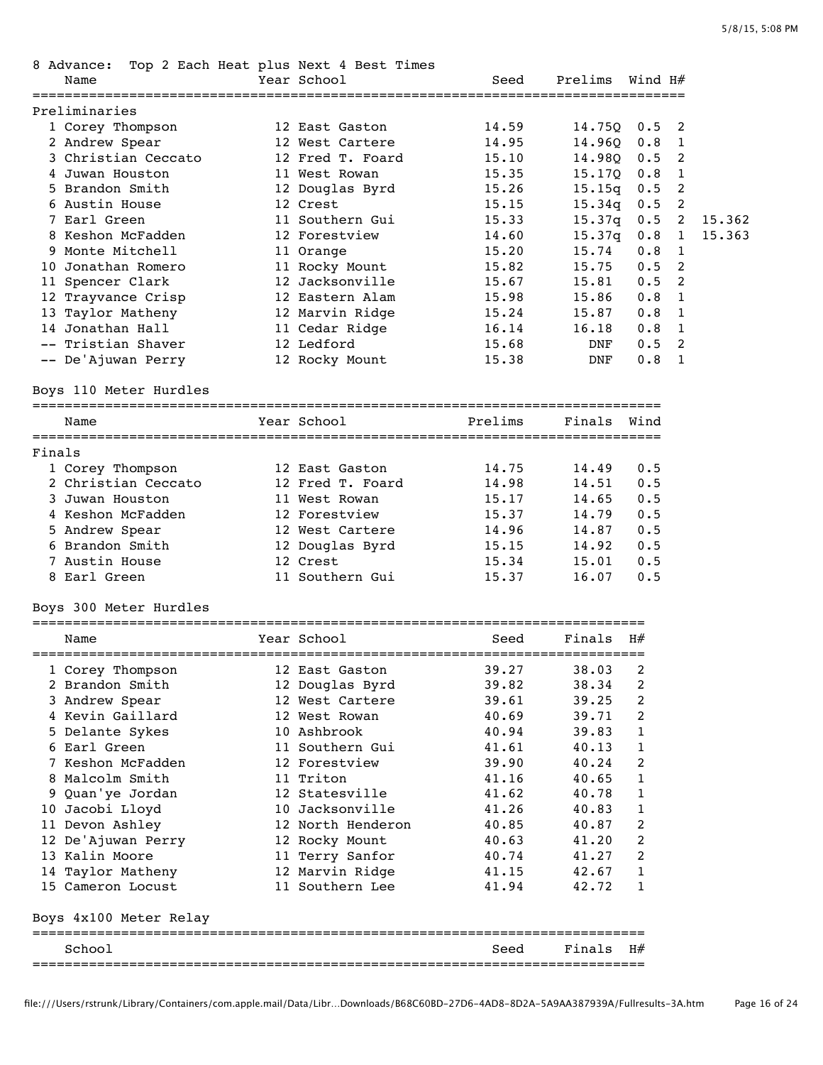| 8 Advance:<br>Name                 | Top 2 Each Heat plus Next 4 Best Times<br>Year School | Seed    | Prelims                        | Wind H#    |                |        |
|------------------------------------|-------------------------------------------------------|---------|--------------------------------|------------|----------------|--------|
|                                    |                                                       |         |                                |            |                |        |
| Preliminaries                      | 12 East Gaston                                        | 14.59   |                                |            | 2              |        |
| 1 Corey Thompson<br>2 Andrew Spear | 12 West Cartere                                       | 14.95   | 14.75Q<br>14.96Q               | 0.5<br>0.8 | 1              |        |
| 3 Christian Ceccato                | 12 Fred T. Foard                                      | 15.10   | 14.98Q                         | 0.5        | 2              |        |
| 4 Juwan Houston                    | 11 West Rowan                                         | 15.35   | 15.17Q                         | 0.8        | $\overline{1}$ |        |
| 5 Brandon Smith                    | 12 Douglas Byrd                                       | 15.26   | 15.15q                         | 0.5        | 2              |        |
| 6 Austin House                     | 12 Crest                                              | 15.15   | 15.34q                         | 0.5        | 2              |        |
| 7 Earl Green                       | 11 Southern Gui                                       | 15.33   | 15.37q                         | 0.5        | 2              | 15.362 |
| 8 Keshon McFadden                  | 12 Forestview                                         | 14.60   | 15.37q                         | 0.8        | $\mathbf{1}$   | 15.363 |
| 9 Monte Mitchell                   | 11 Orange                                             | 15.20   | 15.74                          | 0.8        | 1              |        |
| 10 Jonathan Romero                 | 11 Rocky Mount                                        | 15.82   | 15.75                          | 0.5        | 2              |        |
| 11 Spencer Clark                   | 12 Jacksonville                                       | 15.67   | 15.81                          | 0.5        | 2              |        |
| 12 Trayvance Crisp                 | 12 Eastern Alam                                       | 15.98   | 15.86                          | 0.8        | 1              |        |
| 13 Taylor Matheny                  | 12 Marvin Ridge                                       | 15.24   | 15.87                          | 0.8        | 1              |        |
| 14 Jonathan Hall                   | 11 Cedar Ridge                                        | 16.14   | 16.18                          | 0.8        | $\mathbf{1}$   |        |
| -- Tristian Shaver                 | 12 Ledford                                            | 15.68   | DNF                            | 0.5        | 2              |        |
| -- De'Ajuwan Perry                 | 12 Rocky Mount                                        | 15.38   | DNF                            | 0.8        | <sup>1</sup>   |        |
|                                    |                                                       |         |                                |            |                |        |
| Boys 110 Meter Hurdles             |                                                       |         |                                |            |                |        |
| Name                               | Year School                                           | Prelims | Finals Wind                    |            |                |        |
|                                    |                                                       |         |                                |            |                |        |
| Finals                             |                                                       |         |                                |            |                |        |
| 1 Corey Thompson                   | 12 East Gaston                                        | 14.75   | 14.49                          | 0.5        |                |        |
| 2 Christian Ceccato                | 12 Fred T. Foard                                      | 14.98   | 14.51                          | 0.5        |                |        |
| 3 Juwan Houston                    | 11 West Rowan                                         | 15.17   | 14.65                          | 0.5        |                |        |
| 4 Keshon McFadden                  | 12 Forestview                                         | 15.37   | 14.79                          | 0.5        |                |        |
| 5 Andrew Spear                     | 12 West Cartere                                       | 14.96   | 14.87                          | 0.5        |                |        |
| 6 Brandon Smith                    | 12 Douglas Byrd                                       | 15.15   | 14.92                          | 0.5        |                |        |
| 7 Austin House                     | 12 Crest                                              | 15.34   | 15.01                          | 0.5        |                |        |
| 8 Earl Green                       | 11 Southern Gui                                       | 15.37   | 16.07                          | 0.5        |                |        |
| Boys 300 Meter Hurdles             |                                                       |         |                                |            |                |        |
| Name                               | Year School                                           | Seed    | Finals                         | H#         |                |        |
| 1 Corey Thompson                   | 12 East Gaston                                        | 39.27   | 38.03                          | 2          |                |        |
| 2 Brandon Smith                    | 12 Douglas Byrd                                       | 39.82   | 38.34                          | 2          |                |        |
| 3 Andrew Spear                     | 12 West Cartere                                       | 39.61   | 39.25                          | 2          |                |        |
| 4 Kevin Gaillard                   | 12 West Rowan                                         | 40.69   | 39.71                          | 2          |                |        |
| 5 Delante Sykes                    | 10 Ashbrook                                           | 40.94   | 39.83                          | 1          |                |        |
| 6 Earl Green                       | 11 Southern Gui                                       | 41.61   | 40.13                          | 1          |                |        |
| 7 Keshon McFadden                  | 12 Forestview                                         | 39.90   | 40.24                          | 2          |                |        |
| 8 Malcolm Smith                    | 11 Triton                                             | 41.16   | 40.65                          | 1          |                |        |
| 9 Quan'ye Jordan                   | 12 Statesville                                        | 41.62   | 40.78                          | 1          |                |        |
| 10 Jacobi Lloyd                    | 10 Jacksonville                                       | 41.26   | 40.83                          | 1          |                |        |
| 11 Devon Ashley                    | 12 North Henderon                                     | 40.85   | 40.87                          | 2          |                |        |
| 12 De'Ajuwan Perry                 | 12 Rocky Mount                                        | 40.63   | 41.20                          | 2          |                |        |
| 13 Kalin Moore                     | 11 Terry Sanfor                                       | 40.74   | 41.27                          | 2          |                |        |
| 14 Taylor Matheny                  | 12 Marvin Ridge                                       | 41.15   | 42.67                          | 1          |                |        |
| 15 Cameron Locust                  | 11 Southern Lee                                       | 41.94   | 42.72                          | 1          |                |        |
| Boys 4x100 Meter Relay             |                                                       |         |                                |            |                |        |
|                                    |                                                       |         |                                |            |                |        |
| School<br>------=============      |                                                       | Seed    | Finals<br>==================== | H#         |                |        |
|                                    |                                                       |         |                                |            |                |        |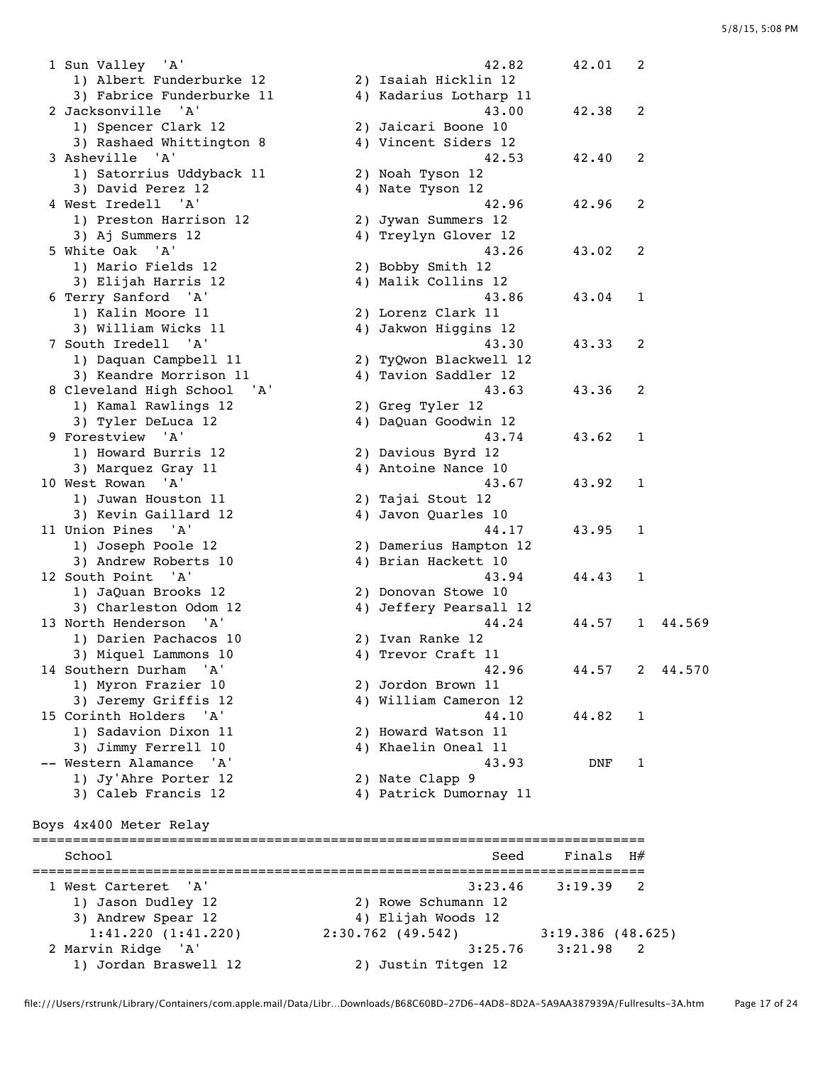1 Sun Valley 'A' 42.82 42.01 2 1) Albert Funderburke 12 2) Isaiah Hicklin 12 3) Fabrice Funderburke 11 4) Kadarius Lotharp 11 2 Jacksonville 'A' 43.00 42.38 2 1) Spencer Clark 12 2) Jaicari Boone 10 3) Rashaed Whittington 8 4) Vincent Siders 12 3 Asheville 'A' 42.53 42.40 2 1) Satorrius Uddyback 11 2) Noah Tyson 12 3) David Perez 12 4) Nate Tyson 12 4 West Iredell 'A' 42.96 42.96 2 1) Preston Harrison 12 2) Jywan Summers 12 3) Aj Summers 12 4) Treylyn Glover 12 5 White Oak 'A' 43.26 43.02 2 1) Mario Fields 12 2) Bobby Smith 12 3) Elijah Harris 12 4) Malik Collins 12 6 Terry Sanford 'A' 43.86 43.04 1 1) Kalin Moore 11 2) Lorenz Clark 11 3) William Wicks 11 4) Jakwon Higgins 12 7 South Iredell 'A' 43.30 43.33 2 1) Daquan Campbell 11 2) TyQwon Blackwell 12 3) Keandre Morrison 11 4) Tavion Saddler 12 8 Cleveland High School 'A' 43.63 43.36 2 1) Kamal Rawlings 12 1) Kamal Rawlings 12 (2) Greg Tyler 12<br>3) Tyler DeLuca 12 (4) DaQuan Goodwin 12 9 Forestview 'A' 43.74 43.62 1 1) Howard Burris 12 2) Davious Byrd 12 3) Marquez Gray 11 4) Antoine Nance 10 10 West Rowan 'A' 43.67 43.92 1 1) Juwan Houston 11 2) Tajai Stout 12 3) Kevin Gaillard 12 4) Javon Quarles 10 11 Union Pines 'A' 44.17 43.95 1<br>1 1) Joseph Poole 12 2) Damerius Hampton 12 1) Joseph Poole 12 2) Damerius Hampton 12 3) Andrew Roberts 10 (4) Brian Hackett 10 12 South Point 'A' 43.94 44.43 1 1) JaQuan Brooks 12 2) Donovan Stowe 10<br>3) Charleston Odom 12 2 11 Infferent Persenti 3) Charleston Odom 12 4) Jeffery Pearsall 12 13 North Henderson 'A' 44.24 44.57 1 44.569 1) Darien Pachacos 10 2) Ivan Ranke 12 3) Miquel Lammons 10 4) Trevor Craft 11 14 Southern Durham 'A' 42.96 44.57 2 44.570 1) Myron Frazier 10 2) Jordon Brown 11 3) Jeremy Griffis 12 4) William Cameron 12 15 Corinth Holders 'A' 44.10 44.82 1 1) Sadavion Dixon 11 2) Howard Watson 11 3) Jimmy Ferrell 10 4) Khaelin Oneal 11 -- Western Alamance 'A' 43.93 DNF 1 1) Jy'Ahre Porter 12<br>3) Caleb Francis 12 1) Jy'Ahre Porter 12 (2) Nate Clapp 9<br>3) Caleb Francis 12 (4) Patrick Dumornay 11 Boys 4x400 Meter Relay ============================================================================ School School Seed Finals H# ============================================================================ 1 West Carteret 'A' 3:23.46 3:19.39 2 1) Jason Dudley 12 2) Rowe Schumann 12 3) Andrew Spear 12 12 12 12 12 12 13 13 14 13 14 14 15 16 17 18 18 19 19 10 11 12 1:41.220 (1:41.220) 2:30.762 (49.542) 3:19.386 (48.625) 2 Marvin Ridge 'A' 3:25.76 3:21.98 2 1) Jordan Braswell 12 2) Justin Titgen 12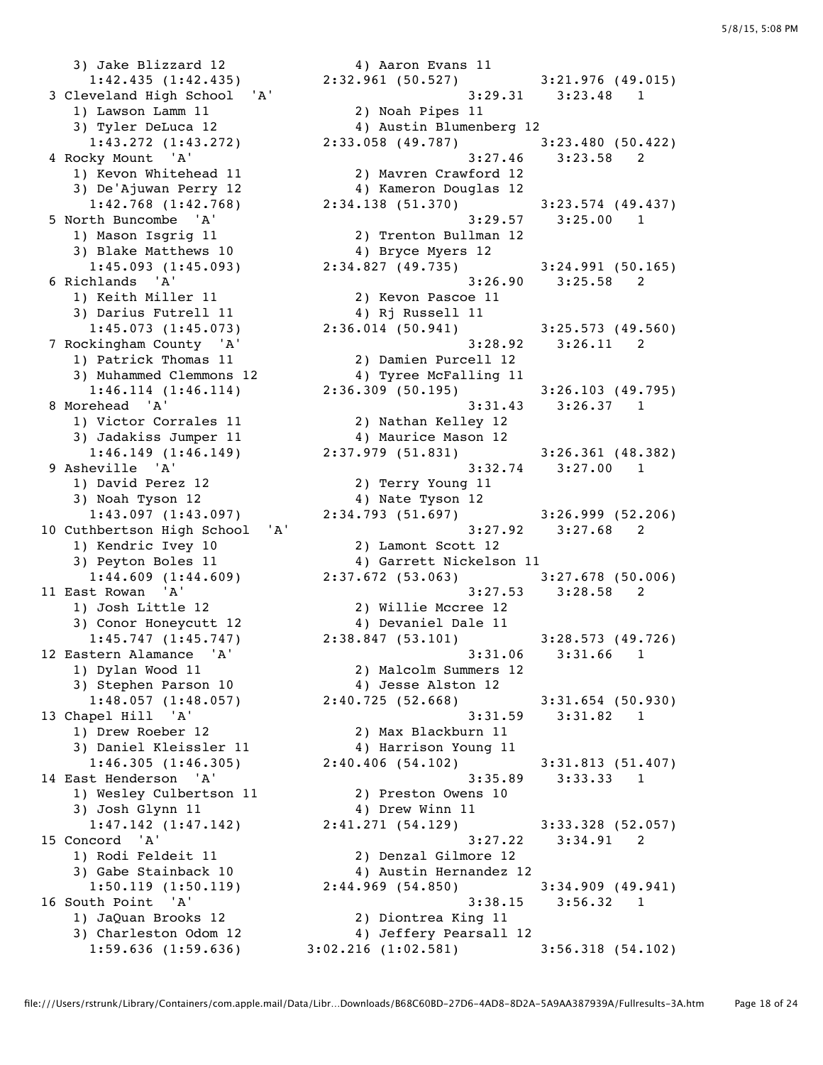3) Jake Blizzard 12 (1:42.435) 4) Aaron Evans 11<br>1:42.435 (1:42.435) 2:32.961 (50.527) 1) Lawson Lamm 11 2) Noah Pipes 11 3) Tyler DeLuca 12 4) Austin Blumenberg 12 1) Kevon Whitehead 11 2) Mavren Crawford 12 3) De'Ajuwan Perry 12 4) Kameron Douglas 12 1) Mason Isgrig 11 2) Trenton Bullman 12 3) Blake Matthews 10 4) Bryce Myers 12 1) Keith Miller 11 2) Kevon Pascoe 11<br>3) Darius Futrell 11 4) Rj Russell 11 3) Darius Futrell 11 12 12 4) Rj Russell 11 1) Patrick Thomas 11 2) Damien Purcell 12 3) Muhammed Clemmons 12 4) Tyree McFalling 11 1) Victor Corrales 11 2) Nathan Kelley 12 3) Jadakiss Jumper 11  $\hskip1cm \hskip1cm 4$ ) Maurice Mason 12 1) David Perez 12 2) Terry Young 11 3) Noah Tyson 12 19 12 12 12 13 13 14 13 14 13 14 14 14 14 14 14 14 14 14 14 14 14 15 16 16 17 18 18 18 18 18 1 1) Kendric Ivey 10 2) Lamont Scott 12 3) Peyton Boles 11 4) Garrett Nickelson 11 1) Josh Little 12 2) Willie Mccree 12 3) Conor Honeycutt 12 (4) Devaniel Dale 11 3) Stephen Parson 10 4) Jesse Alston 12 1) Drew Roeber 12 2) Max Blackburn 11<br>3) Daniel Kleissler 11 4) Harrison Young 11<br>1:46.305 (1:46.305) 2:40.406 (54.102) 3) Daniel Kleissler 11 4) Harrison Young 11 1) Wesley Culbertson 11 2) Preston Owens 10 3) Josh Glynn 11 4) Drew Winn 11 1) Rodi Feldeit 11 2) Denzal Gilmore 12 3) Gabe Stainback 10 4) Austin Hernandez 12 1) JaQuan Brooks 12 2) Diontrea King 11

 $1:42.435$  (1:42.435) 2:32.961 (50.527) 3:21.976 (49.015) 3 Cleveland High School 'A' 3:29.31 3:23.48 1 1:43.272 (1:43.272) 2:33.058 (49.787) 3:23.480 (50.422) 4 Rocky Mount 'A' 3:27.46 3:23.58 2 1:42.768 (1:42.768) 2:34.138 (51.370) 3:23.574 (49.437) 5 North Buncombe 'A' 3:29.57 3:25.00 1 1:45.093 (1:45.093) 2:34.827 (49.735) 3:24.991 (50.165) 6 Richlands 'A' 3:26.90 3:25.58 2 1:45.073 (1:45.073) 2:36.014 (50.941) 3:25.573 (49.560) 7 Rockingham County 'A' 3:28.92 3:26.11 2 1:46.114 (1:46.114) 2:36.309 (50.195) 3:26.103 (49.795) 8 Morehead 'A' 3:31.43 3:26.37 1 1:46.149 (1:46.149) 2:37.979 (51.831) 3:26.361 (48.382) 9 Asheville 'A' 3:32.74 3:27.00 1 1:43.097 (1:43.097) 2:34.793 (51.697) 3:26.999 (52.206) 10 Cuthbertson High School 'A' 3:27.92 3:27.68 2 1:44.609 (1:44.609) 2:37.672 (53.063) 3:27.678 (50.006) 11 East Rowan 'A' 3:27.53 3:28.58 2 1:45.747 (1:45.747) 2:38.847 (53.101) 3:28.573 (49.726) 12 Eastern Alamance 'A' 3:31.06 3:31.66 1 1) Dylan Wood 11 2) Malcolm Summers 12 1:48.057 (1:48.057) 2:40.725 (52.668) 3:31.654 (50.930) 13 Chapel Hill 'A' 3:31.59 3:31.82 1 1:46.305 (1:46.305) 2:40.406 (54.102) 3:31.813 (51.407) 14 East Henderson 'A' 3:35.89 3:33.33 1 1:47.142 (1:47.142) 2:41.271 (54.129) 3:33.328 (52.057) 15 Concord 'A' 3:27.22 3:34.91 2 1:50.119 (1:50.119) 2:44.969 (54.850) 3:34.909 (49.941) 16 South Point 'A' 3:38.15 3:56.32 1 3) Charleston Odom 12 4) Jeffery Pearsall 12 1:59.636 (1:59.636) 3:02.216 (1:02.581) 3:56.318 (54.102)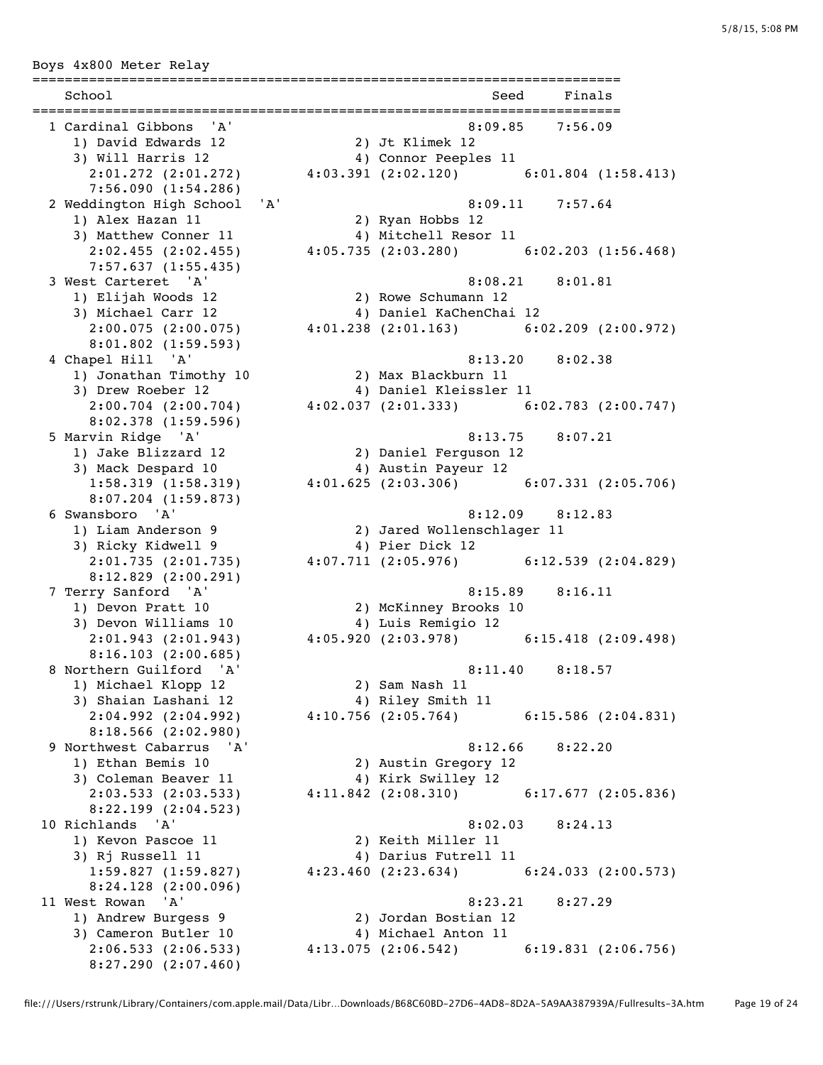Boys 4x800 Meter Relay ========================================================================= School Seed Finals ========================================================================= 1 Cardinal Gibbons 'A' 8:09.85 7:56.09 1) David Edwards 12 2) Jt Klimek 12 3) Will Harris 12 4) Connor Peeples 11 2:01.272 (2:01.272) 4:03.391 (2:02.120) 6:01.804 (1:58.413) 7:56.090 (1:54.286) 2 Weddington High School 'A' 8:09.11 7:57.64 1) Alex Hazan 11 2) Ryan Hobbs 12 3) Matthew Conner 11 4) Mitchell Resor 11 2:02.455 (2:02.455) 4:05.735 (2:03.280) 6:02.203 (1:56.468) 7:57.637 (1:55.435) 3 West Carteret 'A' 8:08.21 8:01.81 1) Elijah Woods 12 2) Rowe Schumann 12 3) Michael Carr 12 4) Daniel KaChenChai 12 3) Michael Carr 12 (2:00.075)<br>2:00.075 (2:00.075) 4:01.238 (2:01.163) 6:02.209 (2:00.972) 8:01.802 (1:59.593) 4 Chapel Hill 'A' 8:13.20 8:02.38 1) Jonathan Timothy 10 2) Max Blackburn 11 3) Drew Roeber 12 4) Daniel Kleissler 11 2:00.704 (2:00.704) 4:02.037 (2:01.333) 6:02.783 (2:00.747) 8:02.378 (1:59.596) 5 Marvin Ridge 'A' 8:13.75 8:07.21 1) Jake Blizzard 12 2) Daniel Ferguson 12 3) Mack Despard 10  $\hphantom{\text{2.65}$  4) Austin Payeur 12 1:58.319 (1:58.319) 4:01.625 (2:03.306) 6:07.331 (2:05.706) 8:07.204 (1:59.873) 6 Swansboro 'A' 8:12.09 8:12.83 1) Liam Anderson 9 2) Jared Wollenschlager 11<br>3) Ricky Kidwell 9 4) Pier Dick 12<br>2:01.735 (2:01.735) 3) Ricky Kidwell 9 4) Pier Dick 12 2:01.735 (2:01.735) 4:07.711 (2:05.976) 6:12.539 (2:04.829) 8:12.829 (2:00.291) 7 Terry Sanford 'A' 8:15.89 8:16.11 1) Devon Pratt 10 2) McKinney Brooks 10<br>3) Devon Williams 10 4) Luis Remigio 12 3) Devon Williams 10 4) Luis Remigio 12 2:01.943 (2:01.943) 4:05.920 (2:03.978) 6:15.418 (2:09.498) 8:16.103 (2:00.685) 8 Northern Guilford 'A' 8:11.40 8:18.57 1) Michael Klopp 12 2) Sam Nash 11<br>3) Shaian Lashani 12 4) Riley Smith 3) Shaian Lashani 12 4) Riley Smith 11 2:04.992 (2:04.992) 4:10.756 (2:05.764) 6:15.586 (2:04.831) 8:18.566 (2:02.980) 9 Northwest Cabarrus 'A' 8:12.66 8:22.20 0:12.06<br>1) Ethan Bemis 10 2) Austin Gregory 12<br>3) Coloman Bessex 11 3) Coleman Beaver 11 4) Kirk Swilley 12<br>2:03.533 (2:03.533) 4:11.842 (2:08.310) 2:03.533 (2:03.533) 4:11.842 (2:08.310) 6:17.677 (2:05.836) 8:22.199 (2:04.523) 10 Richlands 'A' 8:02.03 8:24.13<br>1) Kevon Pascoe 11 2) Keith Miller 11<br>3) Rj Russell 11 4) Darius Futrell 11 1) Kevon Pascoe 11 2) Keith Miller 11 3) Rj Russell 11 4) Darius Futrell 11 1:59.827 (1:59.827) 4:23.460 (2:23.634) 6:24.033 (2:00.573) 8:24.128 (2:00.096) 11 West Rowan 'A' 8:23.21 8:27.29 1) Andrew Burgess 9 2) Jordan Bostian 12 3) Cameron Butler 10 4) Michael Anton 11 2:06.533 (2:06.533) 4:13.075 (2:06.542) 6:19.831 (2:06.756) 8:27.290 (2:07.460)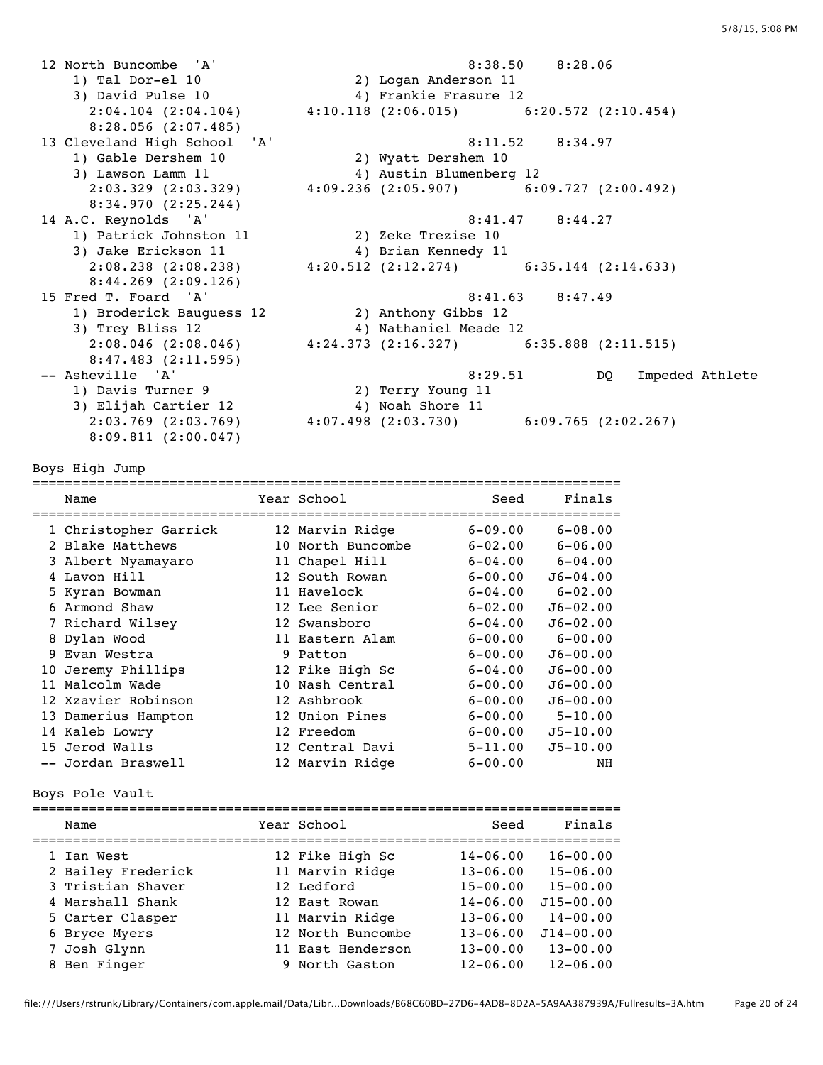12 North Buncombe 'A' 8:38.50 8:28.06 1) Tal Dor-el 10 2) Logan Anderson 11 3) David Pulse 10 4) Frankie Frasure 12 2:04.104 (2:04.104) 4:10.118 (2:06.015) 6:20.572 (2:10.454) 8:28.056 (2:07.485) 13 Cleveland High School 'A' 8:11.52 8:34.97 1) Gable Dershem 10 2) Wyatt Dershem 10 3) Lawson Lamm 11 4) Austin Blumenberg 12 2:03.329 (2:03.329) 4:09.236 (2:05.907) 6:09.727 (2:00.492) 8:34.970 (2:25.244) 14 A.C. Reynolds 'A' 8:41.47 8:44.27 1) Patrick Johnston 11 2) Zeke Trezise 10 3) Jake Erickson 11  $\hskip1cm \hskip1cm 4$ ) Brian Kennedy 11 2:08.238 (2:08.238) 4:20.512 (2:12.274) 6:35.144 (2:14.633) 8:44.269 (2:09.126) 15 Fred T. Foard 'A' 8:41.63 8:47.49 1) Broderick Bauguess 12 2) Anthony Gibbs 12 3) Trey Bliss 12 4) Nathaniel Meade 12 2:08.046 (2:08.046) 4:24.373 (2:16.327) 6:35.888 (2:11.515) 8:47.483 (2:11.595) -- Asheville 'A' 8:29.51 DQ Impeded Athlete 1) Davis Turner 9 2) Terry Young 11 3) Elijah Cartier 12  $\hskip1cm$  4) Noah Shore 11 2:03.769 (2:03.769) 4:07.498 (2:03.730) 6:09.765 (2:02.267) 8:09.811 (2:00.047)

Boys High Jump

========================================================================= Name The Year School Seed Finals ========================================================================= 1 Christopher Garrick 12 Marvin Ridge 6-09.00 6-08.00 2 Blake Matthews 10 North Buncombe 6-02.00 6-06.00 3 Albert Nyamayaro 11 Chapel Hill 6-04.00 6-04.00 4 Lavon Hill 12 South Rowan 6-00.00 J6-04.00 5 Kyran Bowman 11 Havelock 6-04.00 6-02.00 6 Armond Shaw 12 Lee Senior 6-02.00 J6-02.00 7 Richard Wilsey 12 Swansboro 6-04.00 J6-02.00 8 Dylan Wood 11 Eastern Alam 6-00.00 6-00.00 9 Evan Westra 9 Patton 6-00.00 J6-00.00 10 Jeremy Phillips 12 Fike High Sc 6-04.00 J6-00.00 11 Malcolm Wade 10 Nash Central 6-00.00 J6-00.00 12 Xzavier Robinson 12 Ashbrook 6-00.00 J6-00.00 13 Damerius Hampton 12 Union Pines 6-00.00 5-10.00 14 Kaleb Lowry 12 Freedom 6-00.00 J5-10.00 15 Jerod Walls 12 Central Davi 5-11.00 J5-10.00 -- Jordan Braswell 12 Marvin Ridge 6-00.00 NH

Boys Pole Vault

| Name               | Year School       | Seed         | Finals        |
|--------------------|-------------------|--------------|---------------|
| 1 Ian West         | 12 Fike High Sc   | $14 - 06.00$ | $16 - 00.00$  |
| 2 Bailey Frederick | 11 Marvin Ridge   | $13 - 06.00$ | $15 - 06.00$  |
| 3 Tristian Shaver  | 12 Ledford        | $15 - 00.00$ | $15 - 00.00$  |
| 4 Marshall Shank   | 12 East Rowan     | $14 - 06.00$ | $J15 - 00.00$ |
| 5 Carter Clasper   | 11 Marvin Ridge   | $13 - 06.00$ | $14 - 00.00$  |
| 6 Bryce Myers      | 12 North Buncombe | $13 - 06.00$ | $J14 - 00.00$ |
| 7 Josh Glynn       | 11 East Henderson | $13 - 00.00$ | $13 - 00.00$  |
| 8 Ben Finger       | 9 North Gaston    | $12 - 06.00$ | $12 - 06.00$  |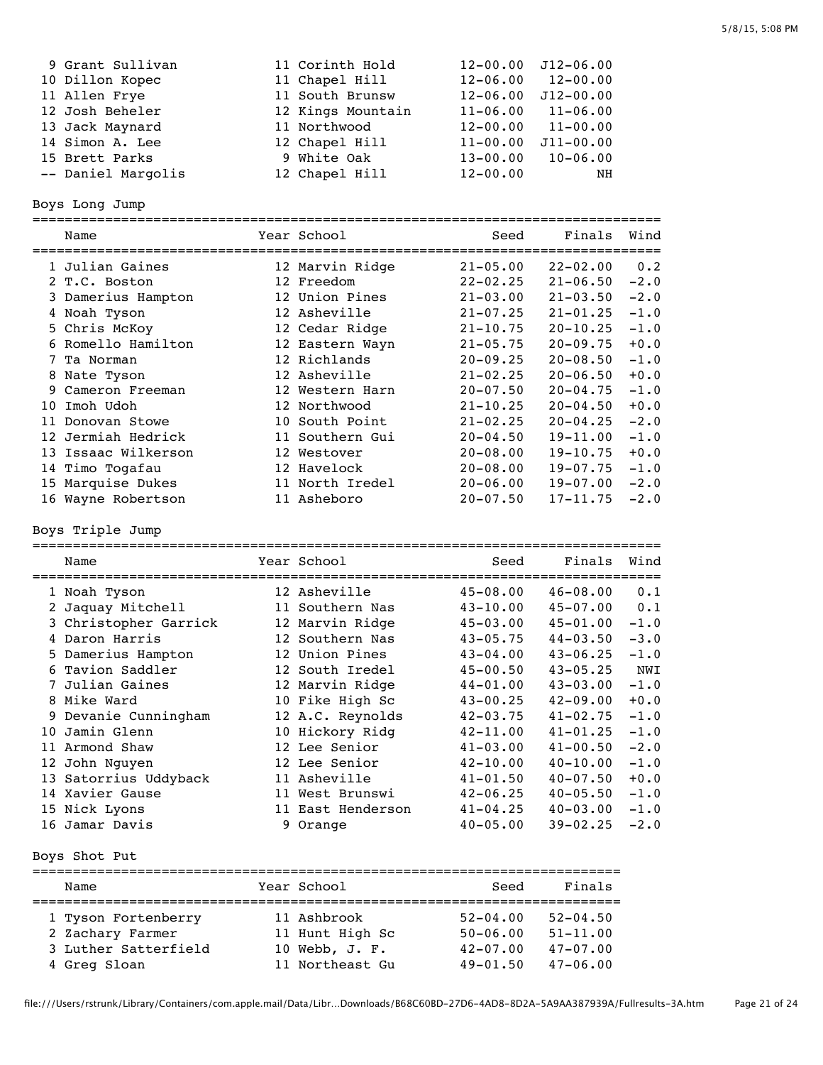| 9 Grant Sullivan   | 11 Corinth Hold   | $12 - 00.00$ | J12-06.00     |
|--------------------|-------------------|--------------|---------------|
| 10 Dillon Kopec    | 11 Chapel Hill    | $12 - 06.00$ | $12 - 00.00$  |
| 11 Allen Frye      | 11 South Brunsw   | $12 - 06.00$ | $J12 - 00.00$ |
| 12 Josh Beheler    | 12 Kings Mountain | $11 - 06.00$ | $11 - 06.00$  |
| 13 Jack Maynard    | 11 Northwood      | $12 - 00.00$ | $11 - 00.00$  |
| 14 Simon A. Lee    | 12 Chapel Hill    | $11 - 00.00$ | $J11 - 00.00$ |
| 15 Brett Parks     | 9 White Oak       | $13 - 00.00$ | $10 - 06.00$  |
| -- Daniel Margolis | 12 Chapel Hill    | $12 - 00.00$ | NH            |

Boys Long Jump

|    | Name                | Year School     | Seed<br>====================================== | Finals       | Wind   |
|----|---------------------|-----------------|------------------------------------------------|--------------|--------|
|    | 1 Julian Gaines     | 12 Marvin Ridge | $21 - 05.00$                                   | $22 - 02.00$ | 0.2    |
|    | 2 T.C. Boston       | 12 Freedom      | $22 - 02.25$                                   | $21 - 06.50$ | $-2.0$ |
|    | 3 Damerius Hampton  | 12 Union Pines  | $21 - 03.00$                                   | $21 - 03.50$ | $-2.0$ |
|    | 4 Noah Tyson        | 12 Asheville    | $21 - 07.25$                                   | $21 - 01.25$ | $-1.0$ |
|    | 5 Chris McKoy       | 12 Cedar Ridge  | $21 - 10.75$                                   | $20 - 10.25$ | $-1.0$ |
|    | 6 Romello Hamilton  | 12 Eastern Wayn | $21 - 05.75$                                   | $20 - 09.75$ | $+0.0$ |
| 7  | Ta Norman           | 12 Richlands    | $20 - 09.25$                                   | $20 - 08.50$ | $-1.0$ |
|    | 8 Nate Tyson        | 12 Asheville    | $21 - 02.25$                                   | $20 - 06.50$ | $+0.0$ |
| 9. | Cameron Freeman     | 12 Western Harn | $20 - 07.50$                                   | $20 - 04.75$ | $-1.0$ |
| 10 | Imoh Udoh           | 12 Northwood    | $21 - 10.25$                                   | $20 - 04.50$ | $+0.0$ |
| 11 | Donovan Stowe       | 10 South Point  | $21 - 02.25$                                   | $20 - 04.25$ | $-2.0$ |
|    | 12 Jermiah Hedrick  | 11 Southern Gui | $20 - 04.50$                                   | $19 - 11.00$ | $-1.0$ |
|    | 13 Issaac Wilkerson | 12 Westover     | $20 - 08.00$                                   | $19 - 10.75$ | $+0.0$ |
|    | 14 Timo Togafau     | 12 Havelock     | $20 - 08.00$                                   | $19 - 07.75$ | $-1.0$ |
|    | 15 Marquise Dukes   | 11 North Iredel | $20 - 06.00$                                   | $19 - 07.00$ | $-2.0$ |
|    | 16 Wayne Robertson  | 11 Asheboro     | $20 - 07.50$                                   | $17 - 11.75$ | $-2.0$ |

Boys Triple Jump

|     | Name                               | Year School       | Seed         | Finals       | Wind   |
|-----|------------------------------------|-------------------|--------------|--------------|--------|
|     | ==================<br>1 Noah Tyson | 12 Asheville      | $45 - 08.00$ | $46 - 08.00$ | 0.1    |
|     | 2 Jaquay Mitchell                  | 11 Southern Nas   | $43 - 10.00$ | $45 - 07.00$ | 0.1    |
|     | 3 Christopher Garrick              | 12 Marvin Ridge   | $45 - 03.00$ | $45 - 01.00$ | $-1.0$ |
|     | Daron Harris                       | 12 Southern Nas   | $43 - 05.75$ | $44 - 03.50$ | $-3.0$ |
|     | 5 Damerius Hampton                 | 12 Union Pines    | $43 - 04.00$ | $43 - 06.25$ | $-1.0$ |
|     | 6 Tavion Saddler                   | 12 South Iredel   | $45 - 00.50$ | $43 - 05.25$ | NWI    |
| 7   | Julian Gaines                      | 12 Marvin Ridge   | $44 - 01.00$ | $43 - 03.00$ | $-1.0$ |
|     | 8 Mike Ward                        | 10 Fike High Sc   | $43 - 00.25$ | $42 - 09.00$ | $+0.0$ |
|     | 9 Devanie Cunningham               | 12 A.C. Reynolds  | $42 - 03.75$ | $41 - 02.75$ | $-1.0$ |
| 1 O | Jamin Glenn                        | 10 Hickory Ridg   | $42 - 11.00$ | $41 - 01.25$ | $-1.0$ |
| 11  | Armond Shaw                        | 12 Lee Senior     | $41 - 03.00$ | $41 - 00.50$ | $-2.0$ |
|     | 12 John Nguyen                     | 12 Lee Senior     | $42 - 10.00$ | $40 - 10.00$ | $-1.0$ |
|     | 13 Satorrius Uddyback              | 11 Asheville      | $41 - 01.50$ | $40 - 07.50$ | $+0.0$ |
|     | 14 Xavier Gause                    | 11 West Brunswi   | $42 - 06.25$ | $40 - 05.50$ | $-1.0$ |
|     | 15 Nick Lyons                      | 11 East Henderson | $41 - 04.25$ | $40 - 03.00$ | $-1.0$ |
|     | 16 Jamar Davis                     | 9 Orange          | $40 - 05.00$ | $39 - 02.25$ | $-2.0$ |

Boys Shot Put

| Name                 |  | Year School     | Seed         | Finals       |  |  |  |  |
|----------------------|--|-----------------|--------------|--------------|--|--|--|--|
|                      |  |                 |              |              |  |  |  |  |
| 1 Tyson Fortenberry  |  | 11 Ashbrook     | $52 - 04.00$ | $52 - 04.50$ |  |  |  |  |
| 2 Zachary Farmer     |  | 11 Hunt High Sc | $50 - 06.00$ | $51 - 11.00$ |  |  |  |  |
| 3 Luther Satterfield |  | 10 Webb, J. F.  | $42 - 07.00$ | $47 - 07.00$ |  |  |  |  |
| 4 Greg Sloan         |  | 11 Northeast Gu | $49 - 01.50$ | $47 - 06.00$ |  |  |  |  |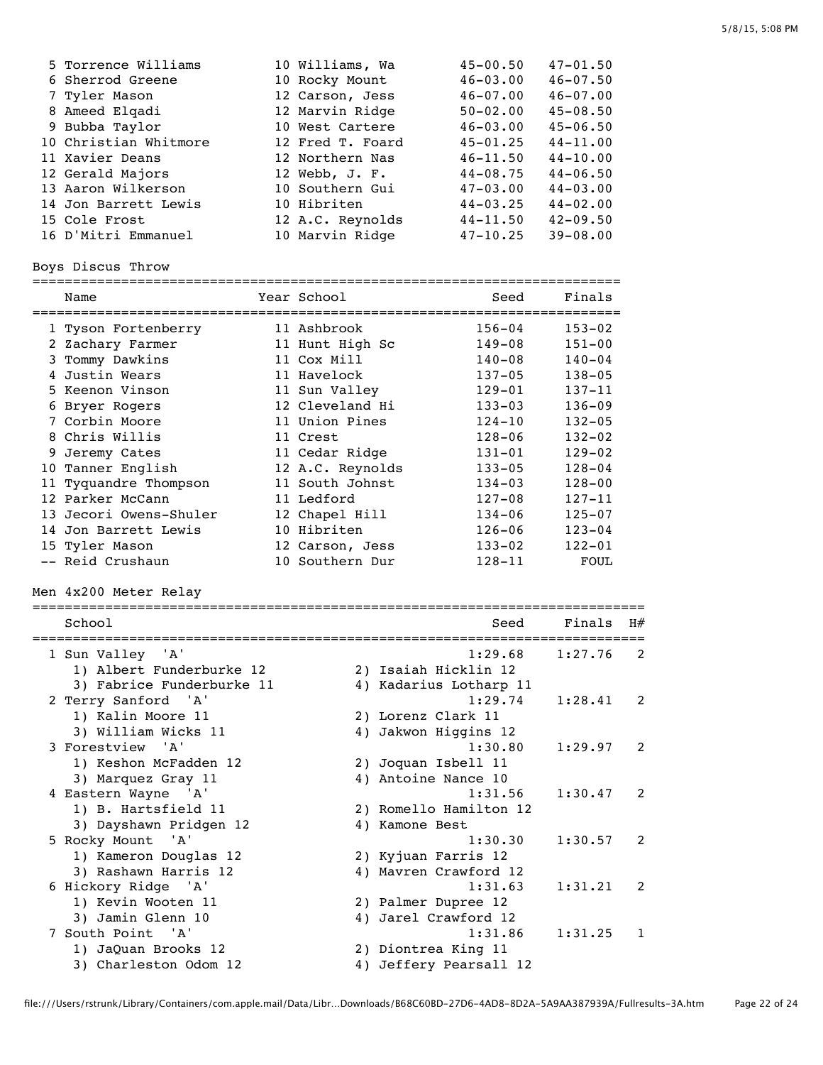| 5 Torrence Williams   | 10 Williams, Wa  | $45 - 00.50$ | $47 - 01.50$ |
|-----------------------|------------------|--------------|--------------|
| 6 Sherrod Greene      | 10 Rocky Mount   | $46 - 03.00$ | $46 - 07.50$ |
| 7 Tyler Mason         | 12 Carson, Jess  | $46 - 07.00$ | $46 - 07.00$ |
| 8 Ameed Elqadi        | 12 Marvin Ridge  | $50 - 02.00$ | $45 - 08.50$ |
| 9 Bubba Taylor        | 10 West Cartere  | $46 - 03.00$ | $45 - 06.50$ |
| 10 Christian Whitmore | 12 Fred T. Foard | $45 - 01.25$ | $44 - 11.00$ |
| 11 Xavier Deans       | 12 Northern Nas  | $46 - 11.50$ | $44 - 10.00$ |
| 12 Gerald Majors      | 12 Webb, J. F.   | $44 - 08.75$ | $44 - 06.50$ |
| 13 Aaron Wilkerson    | 10 Southern Gui  | $47 - 03.00$ | $44 - 03.00$ |
| 14 Jon Barrett Lewis  | 10 Hibriten      | $44 - 03.25$ | $44 - 02.00$ |
| 15 Cole Frost         | 12 A.C. Reynolds | $44 - 11.50$ | $42 - 09.50$ |
| 16 D'Mitri Emmanuel   | 10 Marvin Ridge  | $47 - 10.25$ | $39 - 08.00$ |

Boys Discus Throw

========================================================================= Name Tear School Seed Finals =========================================================================

| 1 Tyson Fortenberry    | 11 Ashbrook      | $156 - 04$ | $153 - 02$ |
|------------------------|------------------|------------|------------|
| 2 Zachary Farmer       | 11 Hunt High Sc  | $149 - 08$ | $151 - 00$ |
| 3 Tommy Dawkins        | 11 Cox Mill      | $140 - 08$ | $140 - 04$ |
| 4 Justin Wears         | 11 Havelock      | $137 - 05$ | $138 - 05$ |
| 5 Keenon Vinson        | 11 Sun Valley    | $129 - 01$ | $137 - 11$ |
| 6 Bryer Rogers         | 12 Cleveland Hi  | $133 - 03$ | $136 - 09$ |
| 7 Corbin Moore         | 11 Union Pines   | $124 - 10$ | $132 - 05$ |
| 8 Chris Willis         | 11 Crest         | $128 - 06$ | $132 - 02$ |
| 9 Jeremy Cates         | 11 Cedar Ridge   | $131 - 01$ | $129 - 02$ |
| 10 Tanner English      | 12 A.C. Reynolds | $133 - 05$ | $128 - 04$ |
| 11 Tyquandre Thompson  | 11 South Johnst  | $134 - 03$ | $128 - 00$ |
| 12 Parker McCann       | 11 Ledford       | $127 - 08$ | $127 - 11$ |
| 13 Jecori Owens-Shuler | 12 Chapel Hill   | $134 - 06$ | $125 - 07$ |
| 14 Jon Barrett Lewis   | 10 Hibriten      | $126 - 06$ | $123 - 04$ |
| 15 Tyler Mason         | 12 Carson, Jess  | $133 - 02$ | $122 - 01$ |
| -- Reid Crushaun       | 10 Southern Dur  | $128 - 11$ | FOUL       |

Men 4x200 Meter Relay

| School                    | Seed                   | Finals  | H#             |
|---------------------------|------------------------|---------|----------------|
| 1 Sun Valley 'A'          | 1:29.68                | 1:27.76 | $\mathcal{L}$  |
| 1) Albert Funderburke 12  | 2) Isaiah Hicklin 12   |         |                |
| 3) Fabrice Funderburke 11 | 4) Kadarius Lotharp 11 |         |                |
| 2 Terry Sanford 'A'       | 1:29.74                | 1:28.41 | 2              |
| 1) Kalin Moore 11         | 2) Lorenz Clark 11     |         |                |
| 3) William Wicks 11       | 4) Jakwon Higgins 12   |         |                |
| 3 Forestview 'A'          | 1:30.80                | 1:29.97 | $\mathcal{L}$  |
| 1) Keshon McFadden 12     | 2) Joquan Isbell 11    |         |                |
| 3) Marquez Gray 11        | 4) Antoine Nance 10    |         |                |
| 4 Eastern Wayne 'A'       | 1:31.56                | 1:30.47 | $\overline{2}$ |
| 1) B. Hartsfield 11       | 2) Romello Hamilton 12 |         |                |
| 3) Dayshawn Pridgen 12    | 4) Kamone Best         |         |                |
| 5 Rocky Mount 'A'         | 1:30.30                | 1:30.57 | $\overline{2}$ |
| 1) Kameron Douglas 12     | 2) Kyjuan Farris 12    |         |                |
| 3) Rashawn Harris 12      | 4) Mavren Crawford 12  |         |                |
| 6 Hickory Ridge 'A'       | 1:31.63                | 1:31.21 | $\mathcal{L}$  |
| 1) Kevin Wooten 11        | 2) Palmer Dupree 12    |         |                |
| 3) Jamin Glenn 10         | 4) Jarel Crawford 12   |         |                |
| 7 South Point 'A'         | 1:31.86                | 1:31.25 | 1              |
| 1) JaQuan Brooks 12       | 2) Diontrea King 11    |         |                |
| 3) Charleston Odom 12     | 4) Jeffery Pearsall 12 |         |                |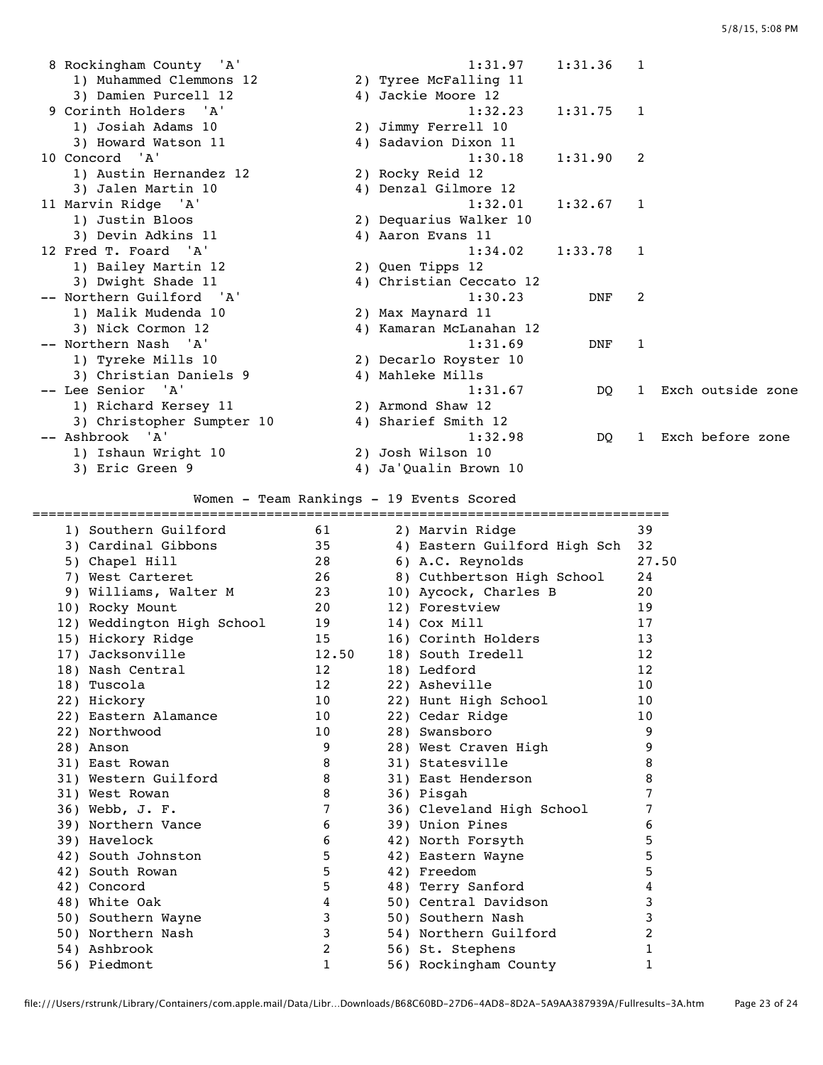| 8 Rockingham County 'A'   | 1:31.97                 | 1:31.36    | - 1                      |                   |
|---------------------------|-------------------------|------------|--------------------------|-------------------|
| 1) Muhammed Clemmons 12   | 2) Tyree McFalling 11   |            |                          |                   |
| 3) Damien Purcell 12      | 4) Jackie Moore 12      |            |                          |                   |
| 9 Corinth Holders 'A'     | 1:32.23                 | 1:31.75    | $\overline{\phantom{1}}$ |                   |
| 1) Josiah Adams 10        | 2) Jimmy Ferrell 10     |            |                          |                   |
| 3) Howard Watson 11       | 4) Sadavion Dixon 11    |            |                          |                   |
| 10 Concord 'A'            | 1:30.18                 | 1:31.90    | - 2                      |                   |
| 1) Austin Hernandez 12    | 2) Rocky Reid 12        |            |                          |                   |
| 3) Jalen Martin 10        | 4) Denzal Gilmore 12    |            |                          |                   |
| 11 Marvin Ridge 'A'       | 1:32.01                 | 1:32.67    | -1                       |                   |
| 1) Justin Bloos           | 2) Dequarius Walker 10  |            |                          |                   |
| 3) Devin Adkins 11        | 4) Aaron Evans 11       |            |                          |                   |
| 12 Fred T. Foard 'A'      | 1:34.02                 | 1:33.78    | 1                        |                   |
| 1) Bailey Martin 12       | 2) Quen Tipps 12        |            |                          |                   |
| 3) Dwight Shade 11        | 4) Christian Ceccato 12 |            |                          |                   |
| -- Northern Guilford 'A'  | 1:30.23                 | <b>DNF</b> | 2                        |                   |
| 1) Malik Mudenda 10       | 2) Max Maynard 11       |            |                          |                   |
| 3) Nick Cormon 12         | 4) Kamaran McLanahan 12 |            |                          |                   |
| -- Northern Nash 'A'      | 1:31.69                 | DNF        | 1                        |                   |
| 1) Tyreke Mills 10        | 2) Decarlo Royster 10   |            |                          |                   |
| 3) Christian Daniels 9    | 4) Mahleke Mills        |            |                          |                   |
| -- Lee Senior 'A'         | 1:31.67                 | DO.        | $\mathbf{1}$             | Exch outside zone |
| 1) Richard Kersey 11      | 2) Armond Shaw 12       |            |                          |                   |
| 3) Christopher Sumpter 10 | 4) Sharief Smith 12     |            |                          |                   |
| -- Ashbrook 'A'           | 1:32.98                 | DO.        | $\mathbf{1}$             | Exch before zone  |
| 1) Ishaun Wright 10       | 2) Josh Wilson 10       |            |                          |                   |
| 3) Eric Green 9           | 4) Ja'Qualin Brown 10   |            |                          |                   |
|                           |                         |            |                          |                   |

## Women - Team Rankings - 19 Events Scored

|                            |       | =======================      |                   |
|----------------------------|-------|------------------------------|-------------------|
| 1) Southern Guilford       | 61    | 2) Marvin Ridge              | 39                |
| 3) Cardinal Gibbons        | 35    | 4) Eastern Guilford High Sch | 32                |
| 5) Chapel Hill             | 28    | 6) A.C. Reynolds             | 27.50             |
| 7) West Carteret           | 26    | 8) Cuthbertson High School   | 24                |
| 9) Williams, Walter M      | 23    | 10) Aycock, Charles B        | 20                |
| 10) Rocky Mount            | 20    | 12) Forestview               | 19                |
| 12) Weddington High School | 19    | 14) Cox Mill                 | 17                |
| 15) Hickory Ridge          | 15    | 16) Corinth Holders          | 13                |
| 17) Jacksonville           | 12.50 | 18) South Iredell            | $12 \overline{ }$ |
| 18) Nash Central           | 12    | 18) Ledford                  | $12 \overline{ }$ |
| 18) Tuscola                | 12    | 22) Asheville                | 10                |
| 22) Hickory                | 10    | 22) Hunt High School         | 10                |
| 22) Eastern Alamance       | 10    | 22) Cedar Ridge              | 10                |
| 22) Northwood              | 10    | 28) Swansboro                | 9                 |
| 28) Anson                  | 9     | 28) West Craven High         | 9                 |
| 31) East Rowan             | 8     | 31) Statesville              | 8                 |
| 31) Western Guilford       | 8     | 31) East Henderson           | 8                 |
| 31) West Rowan             | 8     | 36) Pisgah                   | 7                 |
| 36) Webb, J. F.            | 7     | 36) Cleveland High School    | 7                 |
| 39) Northern Vance         | 6     | 39) Union Pines              | 6                 |
| 39) Havelock               | 6     | 42) North Forsyth            | 5                 |
| 42) South Johnston         | 5     | 42) Eastern Wayne            | 5                 |
| 42) South Rowan            | 5     | 42) Freedom                  | 5                 |
| 42) Concord                | 5     | 48) Terry Sanford            | 4                 |
| 48) White Oak              | 4     | 50) Central Davidson         | 3                 |
| 50) Southern Wayne         | 3     | 50) Southern Nash            | 3                 |
| 50) Northern Nash          | 3     | 54) Northern Guilford        | $\overline{2}$    |
| 54) Ashbrook               | 2     | 56) St. Stephens             | 1                 |
| 56) Piedmont               | 1     | 56) Rockingham County        | 1                 |
|                            |       |                              |                   |